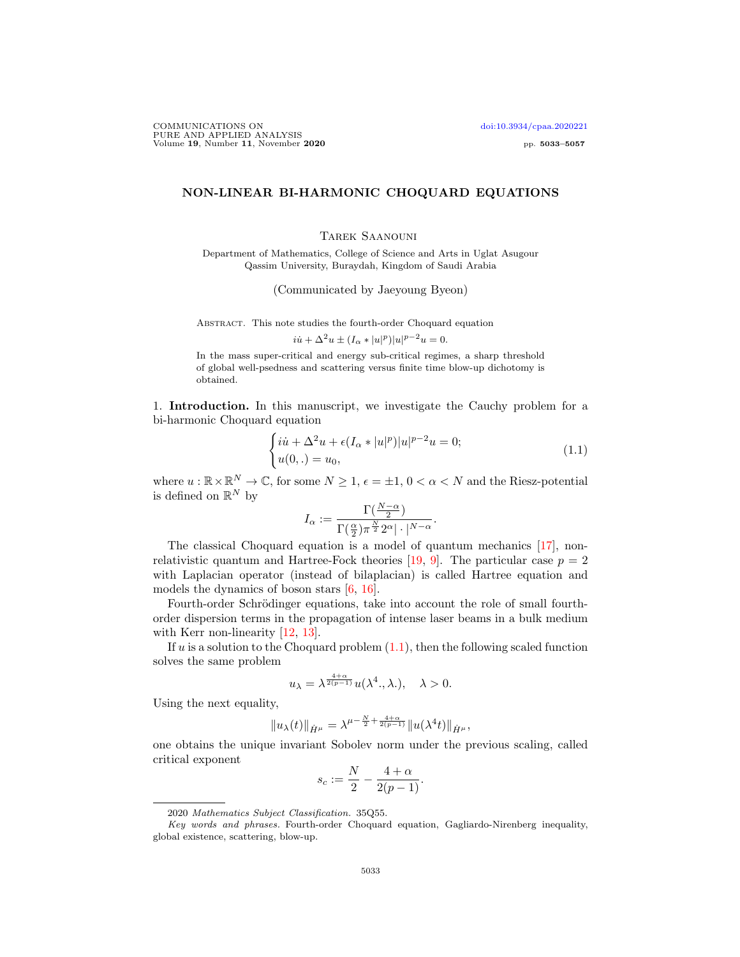COMMUNICATIONS ON doi:10.3934/cpaa.2020221 PURE AND APPLIED ANALYSIS Volume 19, Number 11, November 2020 pp. 5033–5057

## NON-LINEAR BI-HARMONIC CHOQUARD EQUATIONS

Tarek Saanouni

Department of Mathematics, College of Science and Arts in Uglat Asugour Qassim University, Buraydah, Kingdom of Saudi Arabia

(Communicated by Jaeyoung Byeon)

Abstract. This note studies the fourth-order Choquard equation

 $i\dot{u} + \Delta^2 u \pm (I_\alpha * |u|^p)|u|^{p-2}u = 0.$ 

In the mass super-critical and energy sub-critical regimes, a sharp threshold of global well-psedness and scattering versus finite time blow-up dichotomy is obtained.

1. Introduction. In this manuscript, we investigate the Cauchy problem for a bi-harmonic Choquard equation

$$
\begin{cases}\ni\dot{u} + \Delta^2 u + \epsilon (I_\alpha * |u|^p)|u|^{p-2}u = 0;\\u(0,.) = u_0,\n\end{cases}
$$
\n(1.1)

where  $u : \mathbb{R} \times \mathbb{R}^N \to \mathbb{C}$ , for some  $N \geq 1$ ,  $\epsilon = \pm 1$ ,  $0 < \alpha < N$  and the Riesz-potential is defined on  $\mathbb{R}^N$  by

$$
I_{\alpha} := \frac{\Gamma(\frac{N-\alpha}{2})}{\Gamma(\frac{\alpha}{2})\pi^{\frac{N}{2}}2^{\alpha}|\cdot|^{N-\alpha}}.
$$

The classical Choquard equation is a model of quantum mechanics [17], nonrelativistic quantum and Hartree-Fock theories [19, 9]. The particular case  $p = 2$ with Laplacian operator (instead of bilaplacian) is called Hartree equation and models the dynamics of boson stars [6, 16].

Fourth-order Schrödinger equations, take into account the role of small fourthorder dispersion terms in the propagation of intense laser beams in a bulk medium with Kerr non-linearity [12, 13].

If u is a solution to the Choquard problem  $(1.1)$ , then the following scaled function solves the same problem

$$
u_{\lambda} = \lambda^{\frac{4+\alpha}{2(p-1)}} u(\lambda^4., \lambda.), \quad \lambda > 0.
$$

Using the next equality,

$$
||u_{\lambda}(t)||_{\dot{H}^{\mu}} = \lambda^{\mu - \frac{N}{2} + \frac{4+\alpha}{2(p-1)}} ||u(\lambda^{4}t)||_{\dot{H}^{\mu}},
$$

one obtains the unique invariant Sobolev norm under the previous scaling, called critical exponent

$$
s_c := \frac{N}{2} - \frac{4+\alpha}{2(p-1)}.
$$

<sup>2020</sup> Mathematics Subject Classification. 35Q55.

Key words and phrases. Fourth-order Choquard equation, Gagliardo-Nirenberg inequality, global existence, scattering, blow-up.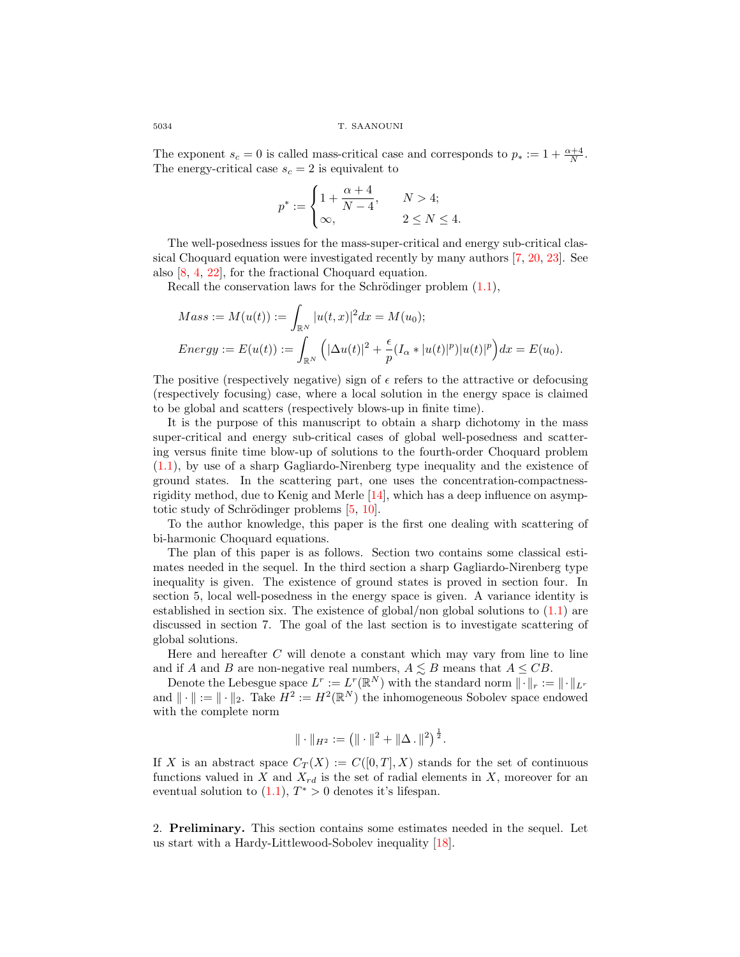The exponent  $s_c = 0$  is called mass-critical case and corresponds to  $p_* := 1 + \frac{\alpha+4}{N}$ . The energy-critical case  $s_c = 2$  is equivalent to

$$
p^*:=\begin{cases} 1+\dfrac{\alpha+4}{N-4},\quad &N>4;\\ \infty,\quad &2\leq N\leq 4. \end{cases}
$$

The well-posedness issues for the mass-super-critical and energy sub-critical classical Choquard equation were investigated recently by many authors [7, 20, 23]. See also [8, 4, 22], for the fractional Choquard equation.

Recall the conservation laws for the Schrödinger problem  $(1.1)$ ,

$$
Mass := M(u(t)) := \int_{\mathbb{R}^N} |u(t, x)|^2 dx = M(u_0);
$$
  
\n
$$
Energy := E(u(t)) := \int_{\mathbb{R}^N} (|\Delta u(t)|^2 + \frac{\epsilon}{p} (I_\alpha * |u(t)|^p) |u(t)|^p) dx = E(u_0).
$$

The positive (respectively negative) sign of  $\epsilon$  refers to the attractive or defocusing (respectively focusing) case, where a local solution in the energy space is claimed to be global and scatters (respectively blows-up in finite time).

It is the purpose of this manuscript to obtain a sharp dichotomy in the mass super-critical and energy sub-critical cases of global well-posedness and scattering versus finite time blow-up of solutions to the fourth-order Choquard problem (1.1), by use of a sharp Gagliardo-Nirenberg type inequality and the existence of ground states. In the scattering part, one uses the concentration-compactnessrigidity method, due to Kenig and Merle [14], which has a deep influence on asymptotic study of Schrödinger problems  $[5, 10]$ .

To the author knowledge, this paper is the first one dealing with scattering of bi-harmonic Choquard equations.

The plan of this paper is as follows. Section two contains some classical estimates needed in the sequel. In the third section a sharp Gagliardo-Nirenberg type inequality is given. The existence of ground states is proved in section four. In section 5, local well-posedness in the energy space is given. A variance identity is established in section six. The existence of global/non global solutions to (1.1) are discussed in section 7. The goal of the last section is to investigate scattering of global solutions.

Here and hereafter  $C$  will denote a constant which may vary from line to line and if A and B are non-negative real numbers,  $A \leq B$  means that  $A \leq CB$ .

Denote the Lebesgue space  $L^r := L^r(\mathbb{R}^N)$  with the standard norm  $\|\cdot\|_r := \|\cdot\|_{L^r}$ and  $\|\cdot\| := \|\cdot\|_2$ . Take  $H^2 := H^2(\mathbb{R}^N)$  the inhomogeneous Sobolev space endowed with the complete norm

$$
\|\cdot\|_{H^2} := \left(\|\cdot\|^2 + \|\Delta\,.\|^2\right)^{\frac{1}{2}}.
$$

If X is an abstract space  $C_T(X) := C([0,T],X)$  stands for the set of continuous functions valued in X and  $X_{rd}$  is the set of radial elements in X, moreover for an eventual solution to  $(1.1)$ ,  $T^* > 0$  denotes it's lifespan.

2. Preliminary. This section contains some estimates needed in the sequel. Let us start with a Hardy-Littlewood-Sobolev inequality [18].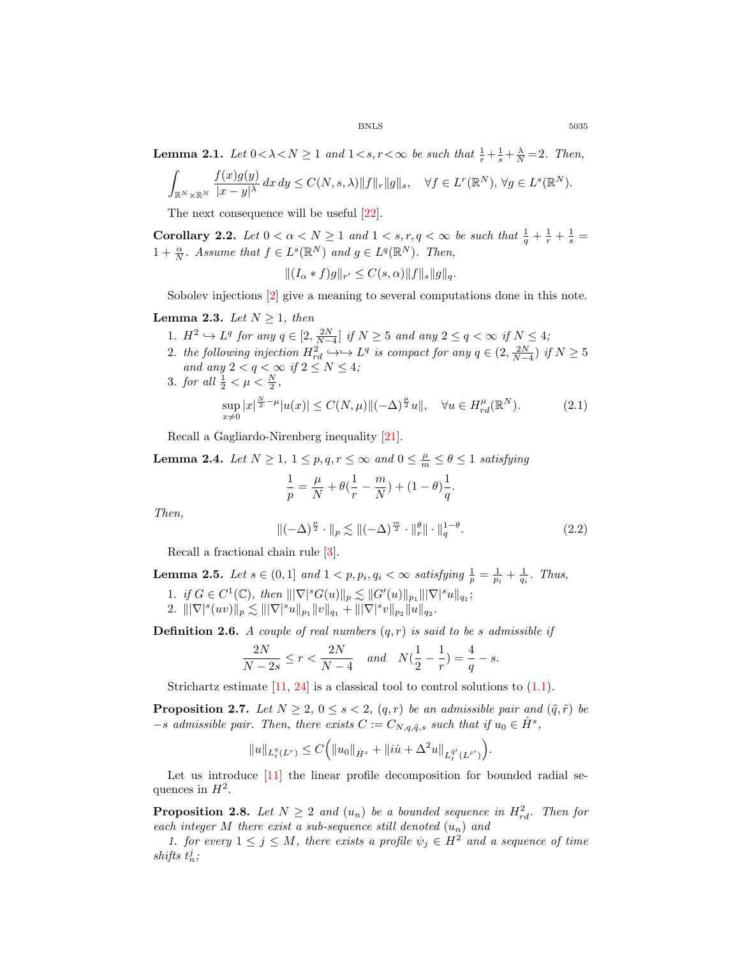**Lemma 2.1.** *Let*  $0 < \lambda < N \ge 1$  *and*  $1 < s, r < \infty$  *be such that*  $\frac{1}{r} + \frac{1}{s} + \frac{\lambda}{N} = 2$ *. Then,* 

$$
\int_{\mathbb{R}^N\times\mathbb{R}^N}\frac{f(x)g(y)}{|x-y|^\lambda}\,dx\,dy\leq C(N,s,\lambda)\|f\|_r\|g\|_s,\quad\forall f\in L^r(\mathbb{R}^N),\,\forall g\in L^s(\mathbb{R}^N).
$$

The next consequence will be useful [22].

Corollary 2.2. Let  $0 < \alpha < N \ge 1$  and  $1 < s, r, q < \infty$  be such that  $\frac{1}{q} + \frac{1}{r} + \frac{1}{s} =$  $1 + \frac{\alpha}{N}$ *. Assume that*  $f \in L^{s}(\mathbb{R}^{N})$  and  $g \in L^{q}(\mathbb{R}^{N})$ *. Then,* 

$$
||(I_{\alpha}*f)g||_{r'} \leq C(s,\alpha) ||f||_{s} ||g||_{q}.
$$

Sobolev injections [2] give a meaning to several computations done in this note.

**Lemma 2.3.** *Let*  $N \geq 1$ *, then* 

- 1.  $H^2 \hookrightarrow L^q$  for any  $q \in [2, \frac{2N}{N-4}]$  if  $N \ge 5$  and any  $2 \le q < \infty$  if  $N \le 4$ ;
- 2. the following injection  $H_{rd}^2 \hookrightarrow \longrightarrow L^q$  is compact for any  $q \in (2, \frac{2N}{N-4})$  if  $N \geq 5$ *and any*  $2 < q < \infty$  *if*  $2 \leq N \leq 4$ *;* 3. *for all*  $\frac{1}{2} < \mu < \frac{N}{2}$ ,

$$
\sup_{x \neq 0} |x|^{\frac{N}{2} - \mu} |u(x)| \le C(N, \mu) \|(-\Delta)^{\frac{\mu}{2}} u\|, \quad \forall u \in H_{rd}^{\mu}(\mathbb{R}^N). \tag{2.1}
$$

Recall a Gagliardo-Nirenberg inequality [21].

**Lemma 2.4.** *Let*  $N \geq 1, 1 \leq p, q, r \leq \infty$  *and*  $0 \leq \frac{\mu}{m} \leq \theta \leq 1$  *satisfying* 

$$
\frac{1}{p} = \frac{\mu}{N} + \theta(\frac{1}{r} - \frac{m}{N}) + (1 - \theta)\frac{1}{q}.
$$

*Then,*

$$
\|(-\Delta)^{\frac{\mu}{2}} \cdot \|_{p} \lesssim \|(-\Delta)^{\frac{m}{2}} \cdot \|_{r}^{\theta} \| \cdot \|_{q}^{1-\theta}.
$$
 (2.2)

Recall a fractional chain rule [3].

**Lemma 2.5.** *Let*  $s \in (0,1]$  and  $1 < p, p_i, q_i < \infty$  *satisfying*  $\frac{1}{p} = \frac{1}{p_i} + \frac{1}{q_i}$ *. Thus,* 1. *if*  $G \in C^1(\mathbb{C})$ , then  $\|\nabla|^s G(u)\|_p \lesssim \|G'(u)\|_{p_1}\|\nabla|^s u\|_{q_1}$ ; 2.  $\|\nabla|^s (uv)\|_p \lesssim \||\nabla|^s u\|_{p_1} \|v\|_{q_1} + \||\nabla|^s v\|_{p_2} \|u\|_{q_2}.$ 

**Definition 2.6.** *A couple of real numbers*  $(q, r)$  *is said to be s admissible if* 

$$
\frac{2N}{N-2s} \le r < \frac{2N}{N-4} \quad \text{and} \quad N\left(\frac{1}{2} - \frac{1}{r}\right) = \frac{4}{q} - s.
$$

Strichartz estimate  $[11, 24]$  is a classical tool to control solutions to  $(1.1)$ .

**Proposition 2.7.** *Let*  $N \geq 2$ ,  $0 \leq s < 2$ ,  $(q, r)$  *be an admissible pair and*  $(\tilde{q}, \tilde{r})$  *be*  $-s$  *admissible pair. Then, there exists*  $C := C_{N,q,\tilde{q},s}$  *such that if*  $u_0 \in \dot{H}^s$ ,

$$
||u||_{L_t^q(L^r)} \leq C(|u_0||_{\dot{H}^s} + ||ii + \Delta^2 u||_{L_t^{\bar{q}'}(L^{\bar{r}'})}).
$$

Let us introduce [11] the linear profile decomposition for bounded radial sequences in  $H^2$ .

**Proposition 2.8.** Let  $N \geq 2$  and  $(u_n)$  be a bounded sequence in  $H_{rd}^2$ . Then for *each integer* M *there exist a sub-sequence still denoted* (un) *and*

*1. for every*  $1 \leq j \leq M$ , there exists a profile  $\psi_j \in H^2$  and a sequence of time shifts  $t_n^j$ ;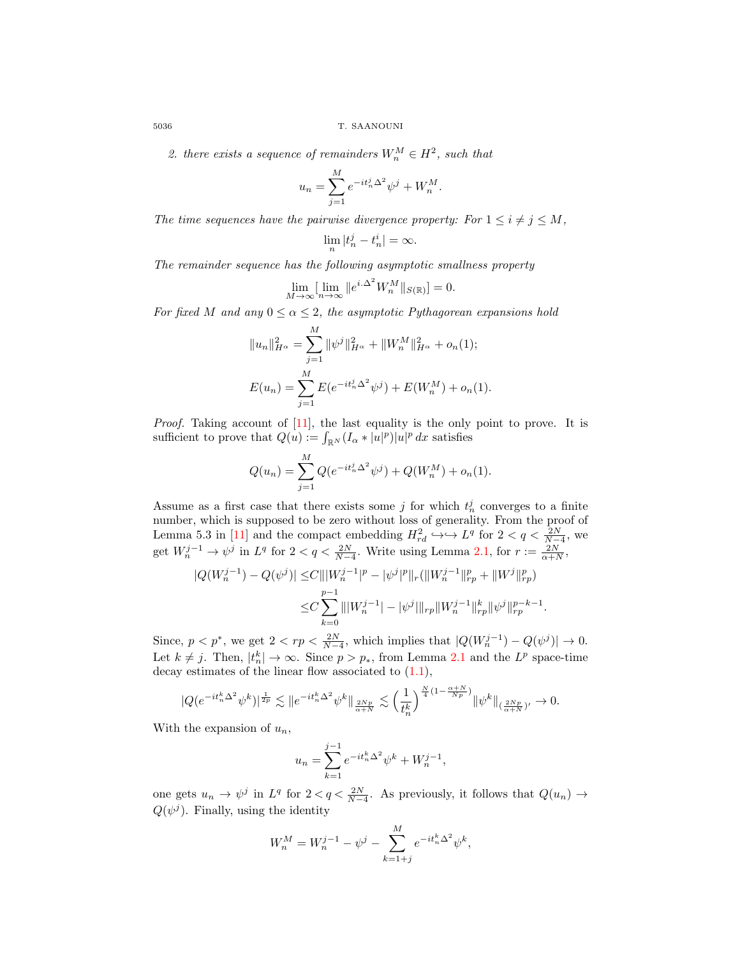2. there exists a sequence of remainders  $W_n^M \in H^2$ , such that

$$
u_n = \sum_{j=1}^{M} e^{-it_n^j \Delta^2} \psi^j + W_n^M.
$$

*The time sequences have the pairwise divergence property: For*  $1 \leq i \neq j \leq M$ ,

$$
\lim_{n}|t_n^j - t_n^i| = \infty.
$$

*The remainder sequence has the following asymptotic smallness property*

$$
\lim_{M \to \infty} \left[ \lim_{n \to \infty} \|e^{i\cdot \Delta^2} W_n^M\|_{S(\mathbb{R})} \right] = 0.
$$

*For fixed* M *and any*  $0 \le \alpha \le 2$ *, the asymptotic Pythagorean expansions hold* 

$$
||u_n||_{H^{\alpha}}^2 = \sum_{j=1}^M ||\psi^j||_{H^{\alpha}}^2 + ||W_n^M||_{H^{\alpha}}^2 + o_n(1);
$$
  

$$
E(u_n) = \sum_{j=1}^M E(e^{-it_n^j \Delta^2} \psi^j) + E(W_n^M) + o_n(1).
$$

*Proof.* Taking account of [11], the last equality is the only point to prove. It is sufficient to prove that  $Q(u) := \int_{\mathbb{R}^N} (I_{\alpha}*|u|^p)|u|^p dx$  satisfies

$$
Q(u_n) = \sum_{j=1}^{M} Q(e^{-it_n^j \Delta^2} \psi^j) + Q(W_n^M) + o_n(1).
$$

Assume as a first case that there exists some  $j$  for which  $t_n^j$  converges to a finite number, which is supposed to be zero without loss of generality. From the proof of Lemma 5.3 in [11] and the compact embedding  $H_{rd}^2 \hookrightarrow \longrightarrow L^q$  for  $2 < q < \frac{2N}{N-4}$ , we get  $W_n^{j-1} \to \psi^j$  in  $L^q$  for  $2 < q < \frac{2N}{N-4}$ . Write using Lemma 2.1, for  $r := \frac{2N}{\alpha+N}$ ,

$$
\begin{aligned} |Q(W_n^{j-1})-Q(\psi^j)|\leq &C \||W_n^{j-1}|^p-|\psi^j|^p\|_r (\|W_n^{j-1}\|_{rp}^p+\|W^j\|_{rp}^p)\\ \leq &C \sum_{k=0}^{p-1}\||W_n^{j-1}| -|\psi^j|\|_{rp}\|W_n^{j-1}\|_{rp}^k\|\psi^j\|_{rp}^{p-k-1}.\end{aligned}
$$

Since,  $p < p^*$ , we get  $2 < rp < \frac{2N}{N-4}$ , which implies that  $|Q(W_n^{j-1}) - Q(\psi^j)| \to 0$ . Let  $k \neq j$ . Then,  $|t_n^k| \to \infty$ . Since  $p > p_*$ , from Lemma 2.1 and the  $L^p$  space-time decay estimates of the linear flow associated to  $(1.1)$ ,

$$
|Q(e^{-it_n^k\Delta^2}\psi^k)|^{\frac{1}{2p}}\lesssim \|e^{-it_n^k\Delta^2}\psi^k\|_{\frac{2Np}{\alpha+N}}\lesssim \Big(\frac{1}{t_n^k}\Big)^{\frac{N}{4}(1-\frac{\alpha+N}{Np})}\|\psi^k\|_{(\frac{2Np}{\alpha+N})'}\to 0.
$$

With the expansion of  $u_n$ ,

$$
u_n = \sum_{k=1}^{j-1} e^{-it_n^k \Delta^2} \psi^k + W_n^{j-1},
$$

one gets  $u_n \to \psi^j$  in  $L^q$  for  $2 < q < \frac{2N}{N-4}$ . As previously, it follows that  $Q(u_n) \to$  $Q(\psi^j)$ . Finally, using the identity

$$
W_n^M = W_n^{j-1} - \psi^j - \sum_{k=1+j}^M e^{-it_n^k \Delta^2} \psi^k,
$$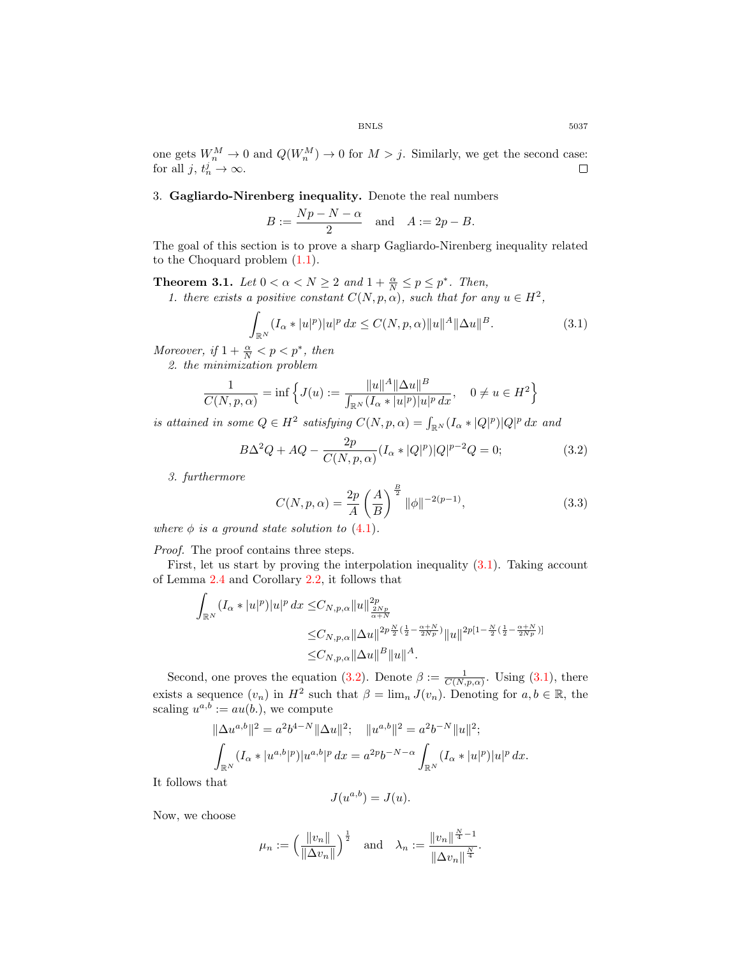one gets  $W_n^M \to 0$  and  $Q(W_n^M) \to 0$  for  $M > j$ . Similarly, we get the second case: for all  $j, t_n^j \to \infty$ .

3. Gagliardo-Nirenberg inequality. Denote the real numbers

$$
B := \frac{Np - N - \alpha}{2} \quad \text{and} \quad A := 2p - B.
$$

The goal of this section is to prove a sharp Gagliardo-Nirenberg inequality related to the Choquard problem (1.1).

**Theorem 3.1.** *Let*  $0 < \alpha < N \ge 2$  *and*  $1 + \frac{\alpha}{N} \le p \le p^*$ *. Then,* 

*1. there exists a positive constant*  $C(N, p, \alpha)$ *, such that for any*  $u \in H^2$ *,* 

$$
\int_{\mathbb{R}^N} (I_\alpha * |u|^p) |u|^p \, dx \le C(N, p, \alpha) \|u\|^A \|\Delta u\|^B. \tag{3.1}
$$

*Moreover, if*  $1 + \frac{\alpha}{N} < p < p^*$ *, then* 

*2. the minimization problem*

$$
\frac{1}{C(N, p, \alpha)} = \inf \left\{ J(u) := \frac{\|u\|^A \|\Delta u\|^B}{\int_{\mathbb{R}^N} (I_\alpha * |u|^p)|u|^p dx}, \quad 0 \neq u \in H^2 \right\}
$$

*is attained in some*  $Q \in H^2$  *satisfying*  $C(N, p, \alpha) = \int_{\mathbb{R}^N} (I_\alpha * |Q|^p)|Q|^p dx$  and

$$
B\Delta^2 Q + A Q - \frac{2p}{C(N, p, \alpha)} (I_\alpha * |Q|^p) |Q|^{p-2} Q = 0; \tag{3.2}
$$

*3. furthermore*

$$
C(N, p, \alpha) = \frac{2p}{A} \left(\frac{A}{B}\right)^{\frac{B}{2}} \|\phi\|^{-2(p-1)},
$$
\n(3.3)

*where*  $\phi$  *is a ground state solution to* (4.1).

*Proof.* The proof contains three steps.

First, let us start by proving the interpolation inequality (3.1). Taking account of Lemma 2.4 and Corollary 2.2, it follows that

$$
\int_{\mathbb{R}^N} (I_{\alpha}*|u|^p)|u|^p \, dx \leq C_{N,p,\alpha} \|u\|_{\frac{2Np}{\alpha+N}}^{2p} \n\leq C_{N,p,\alpha} \|\Delta u\|_{\frac{2p}{\alpha+N}}^{2p\frac{N}{\alpha}(\frac{1}{2}-\frac{\alpha+N}{2Np})} \|u\|_{\frac{2p[1-\frac{N}{2}(\frac{1}{2}-\frac{\alpha+N}{2Np})]}{\frac{2N}{\alpha+N}}} \n\leq C_{N,p,\alpha} \|\Delta u\|_{\frac{p}{\alpha}}^{2p} \|u\|_{\frac{4}{\alpha}}.
$$

Second, one proves the equation (3.2). Denote  $\beta := \frac{1}{C(N,p,\alpha)}$ . Using (3.1), there exists a sequence  $(v_n)$  in  $H^2$  such that  $\beta = \lim_n J(v_n)$ . Denoting for  $a, b \in \mathbb{R}$ , the scaling  $u^{a,b} := au(b.)$ , we compute

$$
\|\Delta u^{a,b}\|^2 = a^2 b^{4-N} \|\Delta u\|^2; \quad \|u^{a,b}\|^2 = a^2 b^{-N} \|u\|^2; \n\int_{\mathbb{R}^N} (I_\alpha * |u^{a,b}|^p) |u^{a,b}|^p dx = a^{2p} b^{-N-\alpha} \int_{\mathbb{R}^N} (I_\alpha * |u|^p) |u|^p dx.
$$

It follows that

$$
J(u^{a,b}) = J(u).
$$

Now, we choose

$$
\mu_n := \left(\frac{\|v_n\|}{\|\Delta v_n\|}\right)^{\frac{1}{2}}
$$
 and  $\lambda_n := \frac{\|v_n\|^{\frac{N}{4}-1}}{\|\Delta v_n\|^{\frac{N}{4}}}.$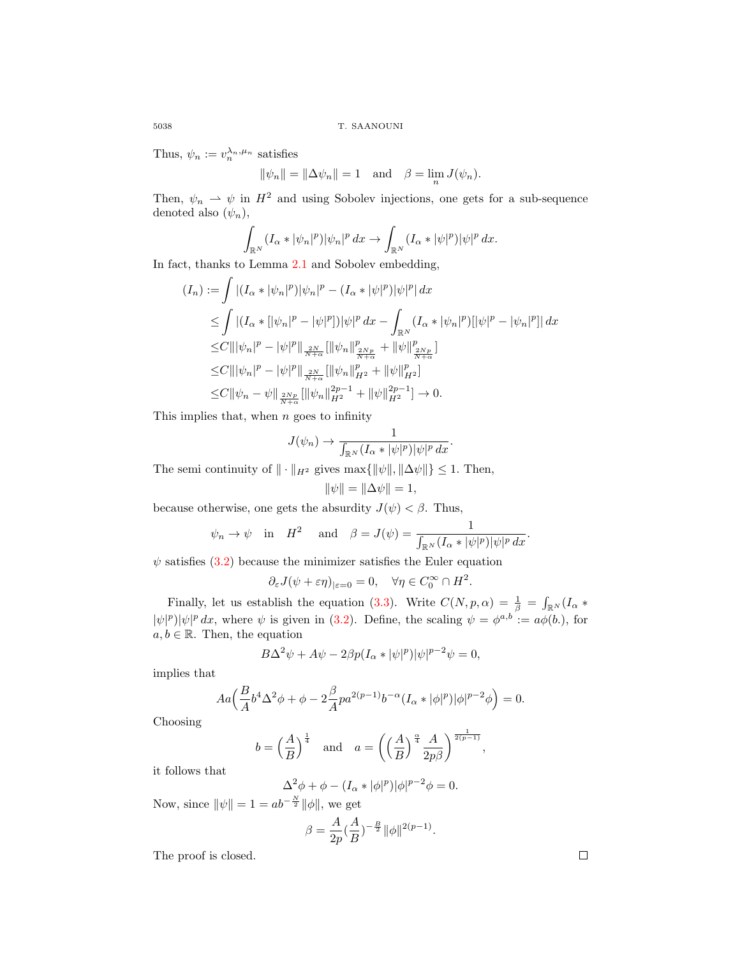Thus,  $\psi_n := v_n^{\lambda_n, \mu_n}$  satisfies

$$
\|\psi_n\| = \|\Delta \psi_n\| = 1 \quad \text{and} \quad \beta = \lim_n J(\psi_n).
$$

Then,  $\psi_n \rightharpoonup \psi$  in  $H^2$  and using Sobolev injections, one gets for a sub-sequence denoted also  $(\psi_n)$ ,

$$
\int_{\mathbb{R}^N} (I_\alpha * |\psi_n|^p) |\psi_n|^p \, dx \to \int_{\mathbb{R}^N} (I_\alpha * |\psi|^p) |\psi|^p \, dx.
$$

In fact, thanks to Lemma 2.1 and Sobolev embedding,

$$
(I_n) := \int |(I_{\alpha}*|\psi_n|^p)|\psi_n|^p - (I_{\alpha}*|\psi|^p)|\psi|^p| dx
$$
  
\n
$$
\leq \int |(I_{\alpha}*[|\psi_n|^p - |\psi|^p])|\psi|^p dx - \int_{\mathbb{R}^N} (I_{\alpha}*|\psi_n|^p)[|\psi|^p - |\psi_n|^p]| dx
$$
  
\n
$$
\leq C |||\psi_n|^p - |\psi|^p||\frac{2N}{N+\alpha} [||\psi_n||_{\frac{2Np}{N+\alpha}}^p + ||\psi||_{\frac{2Np}{N+\alpha}}^p]
$$
  
\n
$$
\leq C |||\psi_n|^p - |\psi|^p||\frac{2N}{N+\alpha} [||\psi_n||_{H^2}^p + ||\psi||_{H^2}^p]
$$
  
\n
$$
\leq C ||\psi_n - \psi||\frac{2Np}{N+\alpha} [||\psi_n||_{H^2}^{2p-1} + ||\psi||_{H^2}^{2p-1}] \to 0.
$$

This implies that, when  $n$  goes to infinity

$$
J(\psi_n) \to \frac{1}{\int_{\mathbb{R}^N} (I_\alpha * |\psi|^p) |\psi|^p dx}.
$$

The semi continuity of  $\|\cdot\|_{H^2}$  gives  $\max{\{\|\psi\|,\|\Delta\psi\|\}} \leq 1$ . Then,

$$
\|\psi\|=\|\Delta\psi\|=1,
$$

because otherwise, one gets the absurdity  $J(\psi) < \beta$ . Thus,

$$
\psi_n \to \psi
$$
 in  $H^2$  and  $\beta = J(\psi) = \frac{1}{\int_{\mathbb{R}^N} (I_\alpha * |\psi|^p) |\psi|^p dx}$ .

 $\psi$  satisfies (3.2) because the minimizer satisfies the Euler equation

$$
\partial_{\varepsilon} J(\psi + \varepsilon \eta)_{|\varepsilon = 0} = 0, \quad \forall \eta \in C_0^{\infty} \cap H^2.
$$

Finally, let us establish the equation (3.3). Write  $C(N, p, \alpha) = \frac{1}{\beta} = \int_{\mathbb{R}^N} (I_{\alpha} *$  $|\psi|^p |\psi|^p dx$ , where  $\psi$  is given in (3.2). Define, the scaling  $\psi = \phi^{a,b} := a\phi(b)$ , for  $a, b \in \mathbb{R}$ . Then, the equation

$$
B\Delta^2\psi + A\psi - 2\beta p(I_\alpha * |\psi|^p)|\psi|^{p-2}\psi = 0,
$$

implies that

$$
Aa\Big(\frac{B}{A}b^4\Delta^2\phi+\phi-2\frac{\beta}{A}pa^{2(p-1)}b^{-\alpha}(I_\alpha*|\phi|^p)|\phi|^{p-2}\phi\Big)=0.
$$

Choosing

$$
b = \left(\frac{A}{B}\right)^{\frac{1}{4}}
$$
 and  $a = \left(\left(\frac{A}{B}\right)^{\frac{\alpha}{4}} \frac{A}{2p\beta}\right)^{\frac{1}{2(p-1)}},$ 

it follows that

$$
\Delta^2 \phi + \phi - (I_\alpha * |\phi|^p) |\phi|^{p-2} \phi = 0.
$$

Now, since  $\|\psi\| = 1 = ab^{-\frac{N}{2}} \|\phi\|$ , we get

$$
\beta = \frac{A}{2p} (\frac{A}{B})^{-\frac{B}{2}} ||\phi||^{2(p-1)}.
$$

The proof is closed.

 $\Box$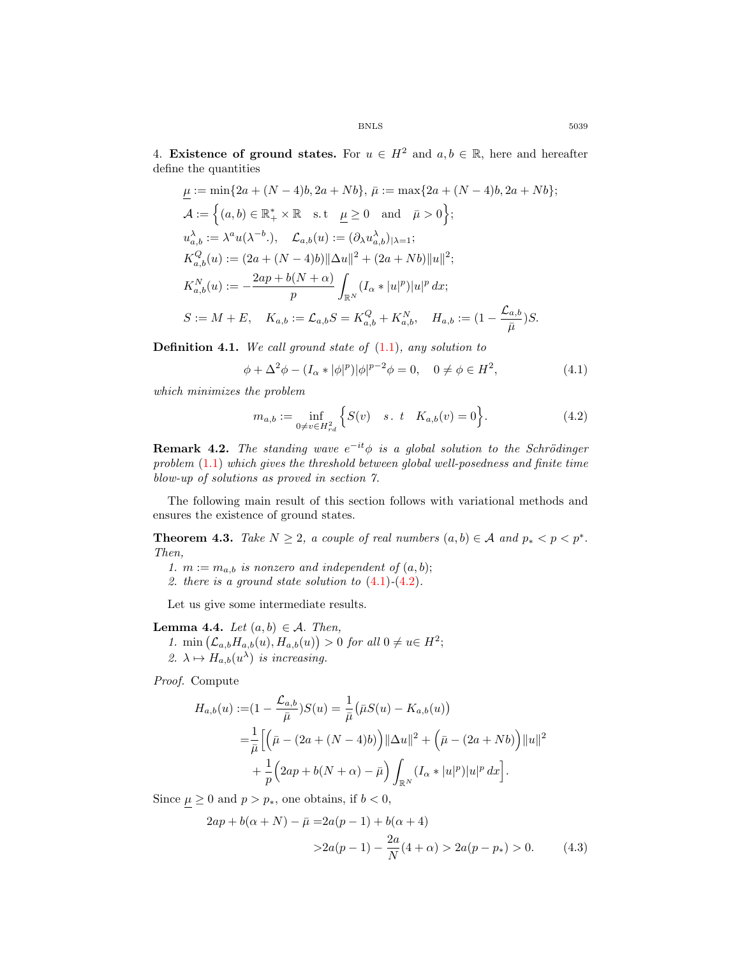4. Existence of ground states. For  $u \in H^2$  and  $a, b \in \mathbb{R}$ , here and hereafter define the quantities

$$
\underline{\mu} := \min\{2a + (N-4)b, 2a + Nb\}, \ \bar{\mu} := \max\{2a + (N-4)b, 2a + Nb\};
$$
\n
$$
\mathcal{A} := \left\{(a, b) \in \mathbb{R}_+^* \times \mathbb{R} \quad \text{s.t} \quad \underline{\mu} \ge 0 \quad \text{and} \quad \bar{\mu} > 0\right\};
$$
\n
$$
u_{a,b}^{\lambda} := \lambda^a u(\lambda^{-b}.), \quad \mathcal{L}_{a,b}(u) := (\partial_\lambda u_{a,b}^{\lambda})_{|\lambda=1};
$$
\n
$$
K_{a,b}^Q(u) := (2a + (N-4)b) ||\Delta u||^2 + (2a + Nb) ||u||^2;
$$
\n
$$
K_{a,b}^N(u) := -\frac{2ap + b(N + \alpha)}{p} \int_{\mathbb{R}^N} (I_\alpha * |u|^p) |u|^p dx;
$$
\n
$$
S := M + E, \quad K_{a,b} := \mathcal{L}_{a,b} S = K_{a,b}^Q + K_{a,b}^N, \quad H_{a,b} := (1 - \frac{\mathcal{L}_{a,b}}{\bar{\mu}})S.
$$

Definition 4.1. *We call ground state of* (1.1)*, any solution to*

$$
\phi + \Delta^2 \phi - (I_\alpha * |\phi|^p) |\phi|^{p-2} \phi = 0, \quad 0 \neq \phi \in H^2,
$$
\n(4.1)

*which minimizes the problem*

$$
m_{a,b} := \inf_{0 \neq v \in H_{rd}^2} \left\{ S(v) \quad s. \ t \quad K_{a,b}(v) = 0 \right\}.
$$
 (4.2)

**Remark 4.2.** The standing wave  $e^{-it}\phi$  is a global solution to the Schrödinger *problem* (1.1) *which gives the threshold between global well-posedness and finite time blow-up of solutions as proved in section 7.*

The following main result of this section follows with variational methods and ensures the existence of ground states.

**Theorem 4.3.** *Take*  $N \geq 2$ , *a couple of real numbers*  $(a, b) \in \mathcal{A}$  *and*  $p_* < p < p^*$ . *Then,*

- 1.  $m := m_{a,b}$  *is nonzero and independent of*  $(a, b)$ ;
- *2. there is a ground state solution to* (4.1)*-*(4.2)*.*

Let us give some intermediate results.

## **Lemma 4.4.** *Let*  $(a, b) \in \mathcal{A}$ *. Then,*

1. min  $(\mathcal{L}_{a,b}H_{a,b}(u), H_{a,b}(u)) > 0$  *for all*  $0 \neq u \in H^2$ ; 2.  $\lambda \mapsto H_{a,b}(u^{\lambda})$  *is increasing.* 

*Proof.* Compute

$$
H_{a,b}(u) := (1 - \frac{\mathcal{L}_{a,b}}{\bar{\mu}})S(u) = \frac{1}{\bar{\mu}} (\bar{\mu}S(u) - K_{a,b}(u))
$$
  
= 
$$
\frac{1}{\bar{\mu}} \Big[ \Big( \bar{\mu} - (2a + (N - 4)b) \Big) ||\Delta u||^2 + \Big( \bar{\mu} - (2a + Nb) \Big) ||u||^2
$$
  
+ 
$$
\frac{1}{p} \Big( 2ap + b(N + \alpha) - \bar{\mu} \Big) \int_{\mathbb{R}^N} (I_{\alpha} * |u|^p) |u|^p dx \Big].
$$

Since  $\mu \geq 0$  and  $p > p_*$ , one obtains, if  $b < 0$ ,

$$
2ap + b(\alpha + N) - \bar{\mu} = 2a(p - 1) + b(\alpha + 4)
$$
  
>2a(p - 1) -  $\frac{2a}{N}(4 + \alpha) > 2a(p - p_*) > 0.$  (4.3)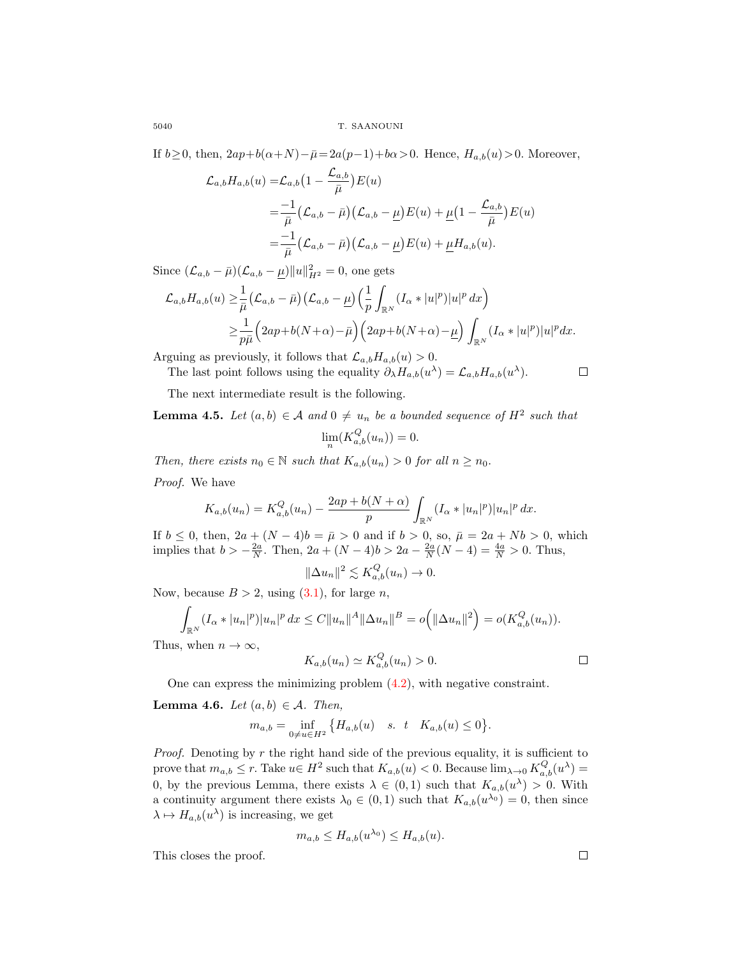If  $b\!\geq\! 0,$  then,  $2ap+b(\alpha\!+\!N)\!-\!\bar{\mu}\!=\!2a(p\!-\!1)\!+\!b\alpha\!>\!0.$  Hence,  $H_{a,b}(u)\!>\!0.$  Moreover,

$$
\mathcal{L}_{a,b}H_{a,b}(u) = \mathcal{L}_{a,b}\left(1 - \frac{\mathcal{L}_{a,b}}{\bar{\mu}}\right)E(u)
$$
  
= 
$$
\frac{-1}{\bar{\mu}}\left(\mathcal{L}_{a,b} - \bar{\mu}\right)\left(\mathcal{L}_{a,b} - \underline{\mu}\right)E(u) + \underline{\mu}\left(1 - \frac{\mathcal{L}_{a,b}}{\bar{\mu}}\right)E(u)
$$
  
= 
$$
\frac{-1}{\bar{\mu}}\left(\mathcal{L}_{a,b} - \bar{\mu}\right)\left(\mathcal{L}_{a,b} - \underline{\mu}\right)E(u) + \underline{\mu}H_{a,b}(u).
$$

Since  $(\mathcal{L}_{a,b} - \bar{\mu})(\mathcal{L}_{a,b} - \underline{\mu})||u||^2_{H^2} = 0$ , one gets

$$
\mathcal{L}_{a,b}H_{a,b}(u) \geq \frac{1}{\bar{\mu}} \left( \mathcal{L}_{a,b} - \bar{\mu} \right) \left( \mathcal{L}_{a,b} - \underline{\mu} \right) \left( \frac{1}{p} \int_{\mathbb{R}^N} (I_{\alpha} * |u|^p) |u|^p dx \right) \n\geq \frac{1}{p\bar{\mu}} \left( 2ap + b(N+\alpha) - \bar{\mu} \right) \left( 2ap + b(N+\alpha) - \underline{\mu} \right) \int_{\mathbb{R}^N} (I_{\alpha} * |u|^p) |u|^p dx.
$$

Arguing as previously, it follows that  $\mathcal{L}_{a,b}H_{a,b}(u) > 0$ .

$$
\Box
$$

The next intermediate result is the following.

**Lemma 4.5.** *Let*  $(a, b) \in \mathcal{A}$  *and*  $0 \neq u_n$  *be a bounded sequence of*  $H^2$  *such that* 

The last point follows using the equality  $\partial_{\lambda} H_{a,b}(u^{\lambda}) = \mathcal{L}_{a,b} H_{a,b}(u^{\lambda}).$ 

$$
\lim_{n}(K_{a,b}^{Q}(u_n)) = 0.
$$

*Then, there exists*  $n_0 \in \mathbb{N}$  *such that*  $K_{a,b}(u_n) > 0$  *for all*  $n \geq n_0$ *.* 

*Proof.* We have

$$
K_{a,b}(u_n) = K_{a,b}^Q(u_n) - \frac{2ap + b(N + \alpha)}{p} \int_{\mathbb{R}^N} (I_\alpha * |u_n|^p) |u_n|^p \, dx.
$$

If *b* ≤ 0, then,  $2a + (N-4)b = \bar{\mu} > 0$  and if *b* > 0, so,  $\bar{\mu} = 2a + Nb > 0$ , which implies that  $b > -\frac{2a}{N}$ . Then,  $2a + (N-4)b > 2a - \frac{2a}{N}(N-4) = \frac{4a}{N} > 0$ . Thus,

$$
\|\Delta u_n\|^2 \lesssim K_{a,b}^Q(u_n) \to 0.
$$

Now, because  $B > 2$ , using  $(3.1)$ , for large *n*,

$$
\int_{\mathbb{R}^N} (I_\alpha * |u_n|^p)|u_n|^p dx \leq C||u_n||^A ||\Delta u_n||^B = o(|\Delta u_n||^2) = o(K_{a,b}^Q(u_n)).
$$

Thus, when  $n \to \infty$ ,

$$
K_{a,b}(u_n) \simeq K_{a,b}^Q(u_n) > 0. \qquad \qquad \Box
$$

One can express the minimizing problem (4.2), with negative constraint.

**Lemma 4.6.** *Let*  $(a, b) \in \mathcal{A}$ *. Then,* 

$$
m_{a,b} = \inf_{0 \neq u \in H^2} \{ H_{a,b}(u) \quad s. \quad t \quad K_{a,b}(u) \leq 0 \}.
$$

*Proof.* Denoting by r the right hand side of the previous equality, it is sufficient to prove that  $m_{a,b} \leq r$ . Take  $u \in H^2$  such that  $K_{a,b}(u) < 0$ . Because  $\lim_{\lambda \to 0} K_{a,b}^Q(u^{\lambda}) =$ 0, by the previous Lemma, there exists  $\lambda \in (0,1)$  such that  $K_{a,b}(u^{\lambda}) > 0$ . With a continuity argument there exists  $\lambda_0 \in (0,1)$  such that  $K_{a,b}(u^{\lambda_0}) = 0$ , then since  $\lambda \mapsto H_{a,b}(u^{\lambda})$  is increasing, we get

$$
m_{a,b} \le H_{a,b}(u^{\lambda_0}) \le H_{a,b}(u).
$$

This closes the proof.

 $\Box$ 

$$
_{5040}
$$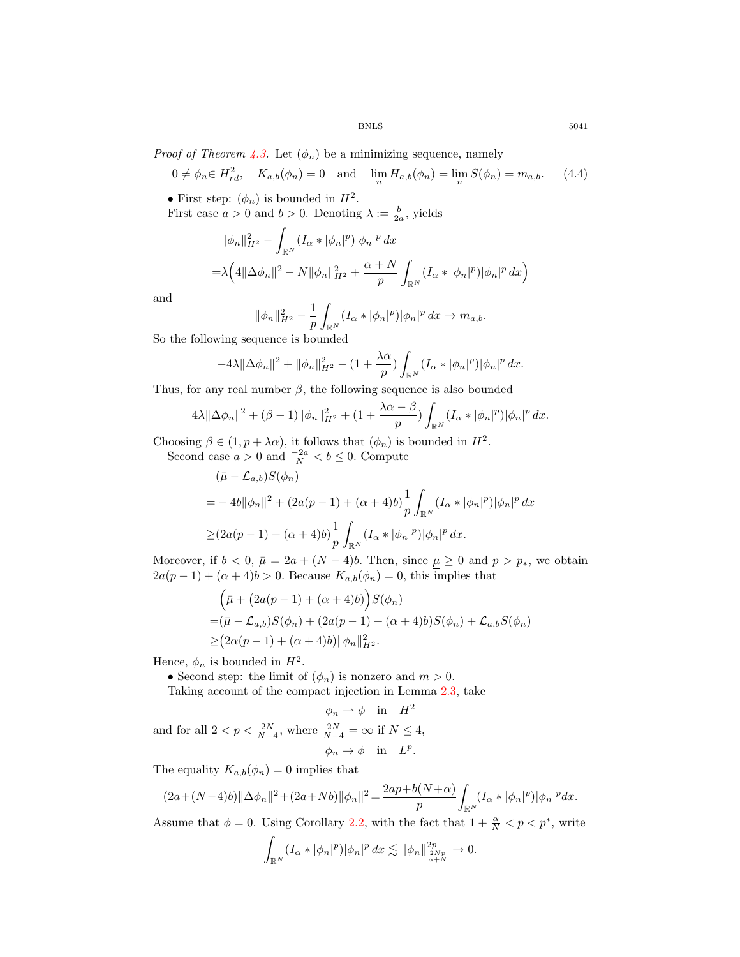*Proof of Theorem 4.3.* Let  $(\phi_n)$  be a minimizing sequence, namely

$$
0 \neq \phi_n \in H_{rd}^2, \quad K_{a,b}(\phi_n) = 0 \quad \text{and} \quad \lim_n H_{a,b}(\phi_n) = \lim_n S(\phi_n) = m_{a,b}.
$$
 (4.4)

• First step:  $(\phi_n)$  is bounded in  $H^2$ .

First case  $a > 0$  and  $b > 0$ . Denoting  $\lambda := \frac{b}{2a}$ , yields

$$
\|\phi_n\|_{H^2}^2 - \int_{\mathbb{R}^N} (I_\alpha * |\phi_n|^p) |\phi_n|^p dx
$$
  
=  $\lambda \Big( 4 \|\Delta \phi_n\|^2 - N \|\phi_n\|_{H^2}^2 + \frac{\alpha + N}{p} \int_{\mathbb{R}^N} (I_\alpha * |\phi_n|^p) |\phi_n|^p dx \Big)$ 

and

$$
\|\phi_n\|_{H^2}^2 - \frac{1}{p} \int_{\mathbb{R}^N} (I_\alpha * |\phi_n|^p) |\phi_n|^p \, dx \to m_{a,b}.
$$

So the following sequence is bounded

$$
-4\lambda \|\Delta \phi_n\|^2 + \|\phi_n\|_{H^2}^2 - (1 + \frac{\lambda \alpha}{p}) \int_{\mathbb{R}^N} (I_\alpha * |\phi_n|^p) |\phi_n|^p \, dx.
$$

Thus, for any real number  $\beta$ , the following sequence is also bounded

$$
4\lambda \|\Delta \phi_n\|^2 + (\beta - 1) \|\phi_n\|_{H^2}^2 + (1 + \frac{\lambda \alpha - \beta}{p}) \int_{\mathbb{R}^N} (I_\alpha * |\phi_n|^p) |\phi_n|^p \, dx.
$$

Choosing  $\beta \in (1, p + \lambda \alpha)$ , it follows that  $(\phi_n)$  is bounded in  $H^2$ .

Second case  $a > 0$  and  $\frac{-2a}{N} < b \le 0$ . Compute

$$
\begin{aligned} & (\bar{\mu} - \mathcal{L}_{a,b}) S(\phi_n) \\ &= -4b \|\phi_n\|^2 + (2a(p-1) + (\alpha + 4)b) \frac{1}{p} \int_{\mathbb{R}^N} (I_\alpha * |\phi_n|^p) |\phi_n|^p \, dx \\ &\geq (2a(p-1) + (\alpha + 4)b) \frac{1}{p} \int_{\mathbb{R}^N} (I_\alpha * |\phi_n|^p) |\phi_n|^p \, dx. \end{aligned}
$$

Moreover, if  $b < 0$ ,  $\bar{\mu} = 2a + (N - 4)b$ . Then, since  $\underline{\mu} \ge 0$  and  $p > p_*$ , we obtain  $2a(p-1) + (\alpha + 4)b > 0$ . Because  $K_{a,b}(\phi_n) = 0$ , this implies that

$$
\begin{aligned} &\left(\bar{\mu} + (2a(p-1) + (\alpha + 4)b)\right)S(\phi_n) \\ &= (\bar{\mu} - \mathcal{L}_{a,b})S(\phi_n) + (2a(p-1) + (\alpha + 4)b)S(\phi_n) + \mathcal{L}_{a,b}S(\phi_n) \\ &\geq (2\alpha(p-1) + (\alpha + 4)b) \|\phi_n\|_{H^2}^2. \end{aligned}
$$

Hence,  $\phi_n$  is bounded in  $H^2$ .

• Second step: the limit of  $(\phi_n)$  is nonzero and  $m > 0$ .

Taking account of the compact injection in Lemma 2.3, take

$$
\phi_n \rightharpoonup \phi \quad \text{in} \quad H^2
$$
\nand for all  $2 < p < \frac{2N}{N-4}$ , where  $\frac{2N}{N-4} = \infty$  if  $N \leq 4$ ,

\n
$$
\phi_n \to \phi \quad \text{in} \quad L^p.
$$

The equality  $K_{a,b}(\phi_n) = 0$  implies that

$$
(2a+(N-4)b)\|\Delta\phi_n\|^2+(2a+Nb)\|\phi_n\|^2=\frac{2ap+b(N+\alpha)}{p}\int_{\mathbb{R}^N}(I_{\alpha}*|\phi_n|^p)|\phi_n|^pdx.
$$

Assume that  $\phi = 0$ . Using Corollary 2.2, with the fact that  $1 + \frac{\alpha}{N} < p < p^*$ , write

$$
\int_{\mathbb{R}^N} (I_\alpha * |\phi_n|^p) |\phi_n|^p \, dx \lesssim ||\phi_n||_{\frac{2Np}{\alpha+N}}^{2p} \to 0.
$$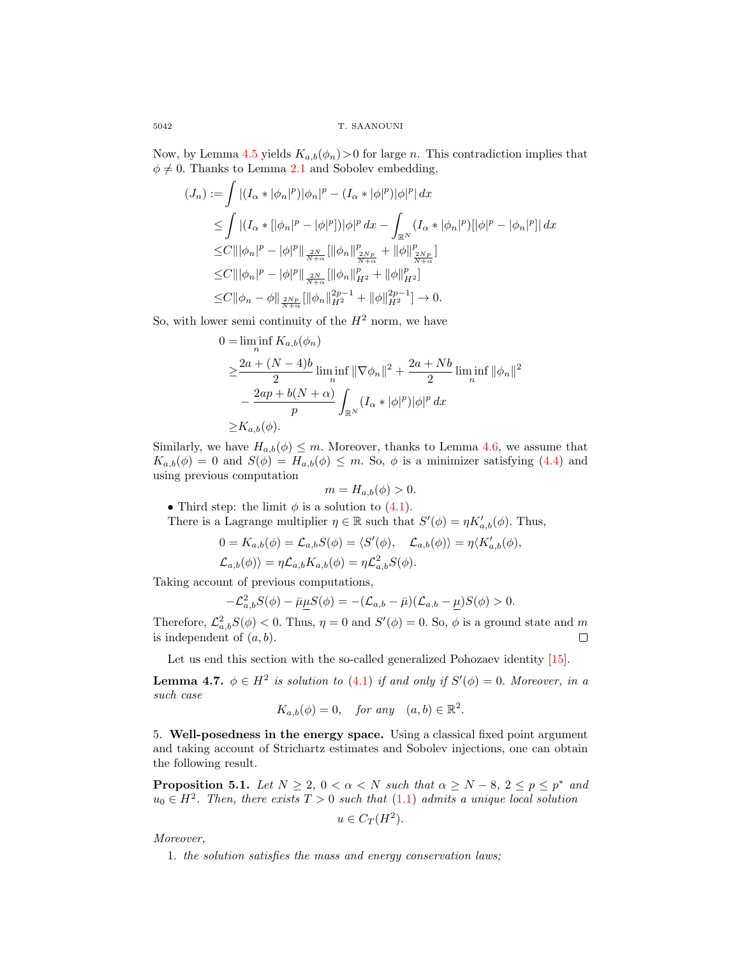5042 T. SAANOUNI

Now, by Lemma 4.5 yields  $K_{a,b}(\phi_n) > 0$  for large n. This contradiction implies that  $\phi \neq 0$ . Thanks to Lemma 2.1 and Sobolev embedding,

$$
(J_n) := \int |(I_{\alpha} * |\phi_n|^p)|\phi_n|^p - (I_{\alpha} * |\phi|^p)|\phi|^p dx
$$
  
\n
$$
\leq \int |(I_{\alpha} * [|\phi_n|^p - |\phi|^p])|\phi|^p dx - \int_{\mathbb{R}^N} (I_{\alpha} * |\phi_n|^p)[|\phi|^p - |\phi_n|^p]| dx
$$
  
\n
$$
\leq C \|\|\phi_n|^p - |\phi|^p\|_{\frac{2N}{N+\alpha}} \|\|\phi_n\|_{\frac{2Np}{N+\alpha}}^p + \|\phi\|_{\frac{2Np}{N+\alpha}}^p]
$$
  
\n
$$
\leq C \|\|\phi_n|^p - |\phi|^p\|_{\frac{2N}{N+\alpha}} \|\|\phi_n\|_{H^2}^p + \|\phi\|_{H^2}^p]
$$
  
\n
$$
\leq C \|\phi_n - \phi\|_{\frac{2Np}{N+\alpha}} \{\|\phi_n\|_{H^2}^{2p-1} + \|\phi\|_{H^2}^{2p-1}\} \to 0.
$$

So, with lower semi continuity of the  $H^2$  norm, we have

$$
0 = \liminf_{n} K_{a,b}(\phi_n)
$$
  
\n
$$
\geq \frac{2a + (N-4)b}{2} \liminf_{n} ||\nabla \phi_n||^2 + \frac{2a + Nb}{2} \liminf_{n} ||\phi_n||^2
$$
  
\n
$$
- \frac{2ap + b(N + \alpha)}{p} \int_{\mathbb{R}^N} (I_\alpha * |\phi|^p) |\phi|^p dx
$$
  
\n
$$
\geq K_{a,b}(\phi).
$$

Similarly, we have  $H_{a,b}(\phi) \leq m$ . Moreover, thanks to Lemma 4.6, we assume that  $K_{a,b}(\phi) = 0$  and  $S(\phi) = H_{a,b}(\phi) \leq m$ . So,  $\phi$  is a minimizer satisfying (4.4) and using previous computation

$$
m = H_{a,b}(\phi) > 0.
$$

• Third step: the limit  $\phi$  is a solution to (4.1).

There is a Lagrange multiplier  $\eta \in \mathbb{R}$  such that  $S'(\phi) = \eta K'_{a,b}(\phi)$ . Thus,

$$
0 = K_{a,b}(\phi) = \mathcal{L}_{a,b}S(\phi) = \langle S'(\phi), \mathcal{L}_{a,b}(\phi) \rangle = \eta \langle K'_{a,b}(\phi),
$$
  

$$
\mathcal{L}_{a,b}(\phi) \rangle = \eta \mathcal{L}_{a,b} K_{a,b}(\phi) = \eta \mathcal{L}_{a,b}^2 S(\phi).
$$

Taking account of previous computations,

$$
-\mathcal{L}_{a,b}^2 S(\phi) - \bar{\mu} \underline{\mu} S(\phi) = -(\mathcal{L}_{a,b} - \bar{\mu})(\mathcal{L}_{a,b} - \underline{\mu})S(\phi) > 0.
$$

Therefore,  $\mathcal{L}_{a,b}^2 S(\phi) < 0$ . Thus,  $\eta = 0$  and  $S'(\phi) = 0$ . So,  $\phi$  is a ground state and m is independent of  $(a, b)$ .  $\Box$ 

Let us end this section with the so-called generalized Pohozaev identity [15].

**Lemma 4.7.**  $\phi \in H^2$  is solution to (4.1) if and only if  $S'(\phi) = 0$ . Moreover, in a *such case*

$$
K_{a,b}(\phi) = 0
$$
, for any  $(a, b) \in \mathbb{R}^2$ .

5. Well-posedness in the energy space. Using a classical fixed point argument and taking account of Strichartz estimates and Sobolev injections, one can obtain the following result.

**Proposition 5.1.** *Let*  $N \geq 2$ ,  $0 < \alpha < N$  *such that*  $\alpha \geq N - 8$ ,  $2 \leq p \leq p^*$  *and*  $u_0 \in H^2$ . Then, there exists  $T > 0$  such that  $(1.1)$  admits a unique local solution

$$
u \in C_T(H^2).
$$

*Moreover,*

1. *the solution satisfies the mass and energy conservation laws;*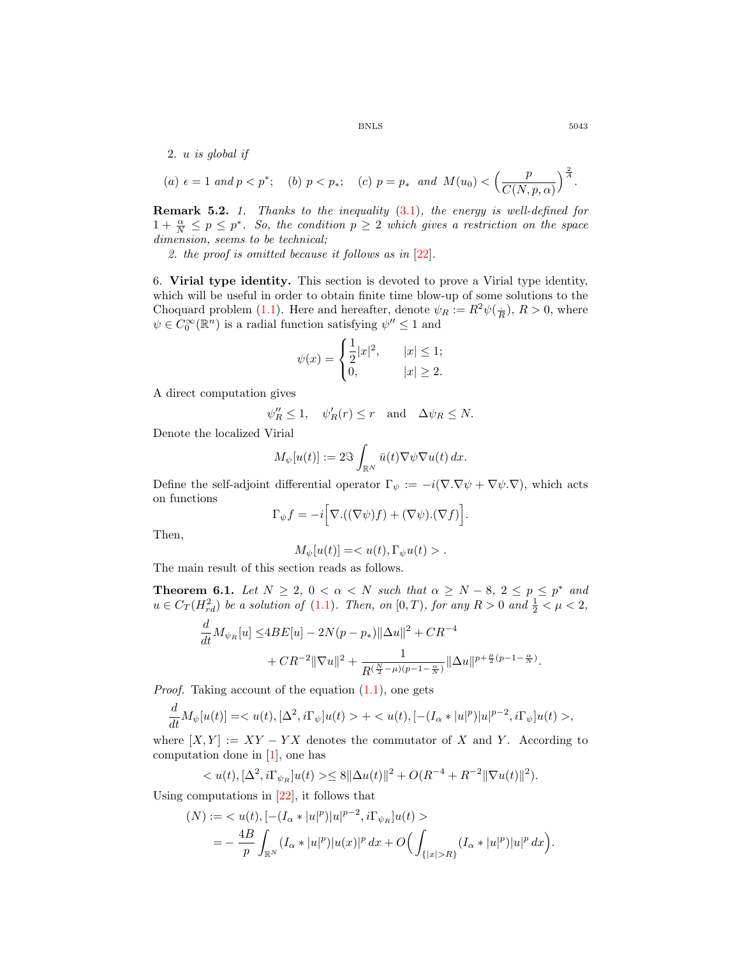2. u *is global if*

(a) 
$$
\epsilon = 1
$$
 and  $p < p^*$ ; (b)  $p < p_*$ ; (c)  $p = p_*$  and  $M(u_0) < \left(\frac{p}{C(N, p, \alpha)}\right)^{\frac{2}{A}}$ .

Remark 5.2. *1. Thanks to the inequality* (3.1)*, the energy is well-defined for*  $1 + \frac{\alpha}{N} \leq p \leq p^*$ . So, the condition  $p \geq 2$  which gives a restriction on the space *dimension, seems to be technical;*

*2. the proof is omitted because it follows as in* [22]*.*

6. Virial type identity. This section is devoted to prove a Virial type identity, which will be useful in order to obtain finite time blow-up of some solutions to the Choquard problem (1.1). Here and hereafter, denote  $\psi_R := R^2 \psi(\frac{1}{R}), R > 0$ , where  $\psi \in C_0^{\infty}(\mathbb{R}^n)$  is a radial function satisfying  $\psi'' \leq 1$  and

$$
\psi(x) = \begin{cases} \frac{1}{2}|x|^2, & |x| \le 1; \\ 0, & |x| \ge 2. \end{cases}
$$

A direct computation gives

$$
\psi_R'' \le 1
$$
,  $\psi_R'(r) \le r$  and  $\Delta \psi_R \le N$ .

Denote the localized Virial

$$
M_{\psi}[u(t)] := 2\Im \int_{\mathbb{R}^N} \bar{u}(t) \nabla \psi \nabla u(t) \, dx.
$$

Define the self-adjoint differential operator  $\Gamma_{\psi} := -i(\nabla \cdot \nabla \psi + \nabla \psi \cdot \nabla)$ , which acts on functions

$$
\Gamma_{\psi} f = -i \Big[ \nabla \cdot ((\nabla \psi) f) + (\nabla \psi) \cdot (\nabla f) \Big].
$$

Then,

$$
M_{\psi}[u(t)]=.
$$

The main result of this section reads as follows.

**Theorem 6.1.** *Let*  $N \geq 2$ ,  $0 < \alpha < N$  *such that*  $\alpha \geq N - 8$ ,  $2 \leq p \leq p^*$  *and*  $u \in C_T(H_{rd}^2)$  be a solution of (1.1). Then, on  $[0, T)$ , for any  $R > 0$  and  $\frac{1}{2} < \mu < 2$ ,

$$
\frac{d}{dt}M_{\psi_R}[u] \le 4BE[u] - 2N(p - p_*) ||\Delta u||^2 + CR^{-4} + CR^{-2} ||\nabla u||^2 + \frac{1}{R^{(\frac{N}{2} - \mu)(p - 1 - \frac{\alpha}{N})}} ||\Delta u||^{p + \frac{\mu}{2}(p - 1 - \frac{\alpha}{N})}.
$$

*Proof.* Taking account of the equation  $(1.1)$ , one gets

$$
\frac{d}{dt}M_{\psi}[u(t)] = \langle u(t), [\Delta^2, i\Gamma_{\psi}]u(t) \rangle + \langle u(t), [-(I_{\alpha} * |u|^p)|u|^{p-2}, i\Gamma_{\psi}]u(t) \rangle,
$$

where  $[X, Y] := XY - YX$  denotes the commutator of X and Y. According to computation done in [1], one has

$$
,  $[\Delta^2, i\Gamma_{\psi_R}]u(t) \geq \delta ||\Delta u(t)||^2 + O(R^{-4} + R^{-2} ||\nabla u(t)||^2).$
$$

Using computations in [22], it follows that

$$
(N) := \langle u(t), [-(I_{\alpha}*|u|^p)|u|^{p-2}, i\Gamma_{\psi_R}]u(t) \rangle
$$
  
= 
$$
-\frac{4B}{p}\int_{\mathbb{R}^N} (I_{\alpha}*|u|^p)|u(x)|^p dx + O\Big(\int_{\{|x|>R\}} (I_{\alpha}*|u|^p)|u|^p dx\Big).
$$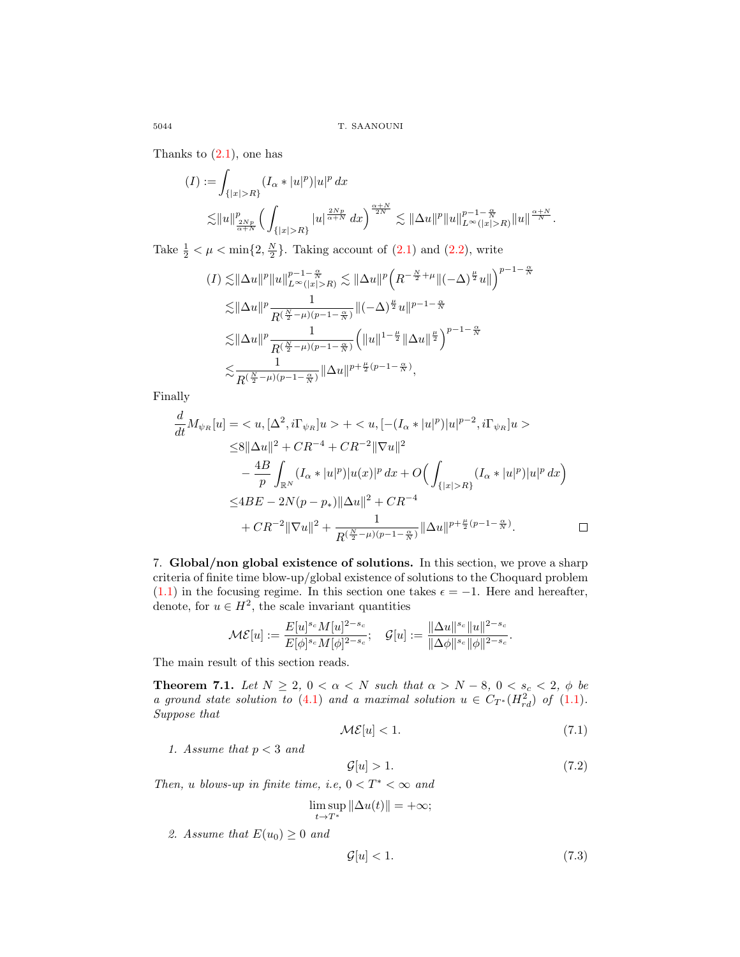Thanks to  $(2.1)$ , one has

$$
(I) := \int_{\{|x|>R\}} (I_{\alpha}*|u|^p)|u|^p dx
$$
  

$$
\lesssim ||u||_{\frac{2Np}{\alpha+N}}^p \left(\int_{\{|x|>R\}} |u|^{\frac{2Np}{\alpha+N}} dx\right)^{\frac{\alpha+N}{2N}} \lesssim ||\Delta u||^p ||u||_{L^{\infty}(|x|>R)}^{p-1-\frac{\alpha}{N}} ||u||^{\frac{\alpha+N}{N}}.
$$

Take  $\frac{1}{2} < \mu < \min\{2, \frac{N}{2}\}\$ . Taking account of  $(2.1)$  and  $(2.2)$ , write

$$
\begin{split} (I) \lesssim & \|\Delta u\|^p \|u\|_{L^\infty(|x|>R)}^{p-1-\frac{\alpha}{N}} \lesssim \|\Delta u\|^p \Big(R^{-\frac{N}{2}+\mu} \|(-\Delta)^{\frac{\mu}{2}}u\|\Big)^{p-1-\frac{\alpha}{N}}\\ \lesssim & \|\Delta u\|^p \frac{1}{R^{(\frac{N}{2}-\mu)(p-1-\frac{\alpha}{N})}}\|(-\Delta)^{\frac{\mu}{2}}u\|^{p-1-\frac{\alpha}{N}}\\ \lesssim & \|\Delta u\|^p \frac{1}{R^{(\frac{N}{2}-\mu)(p-1-\frac{\alpha}{N})}}\Big(\|u\|^{1-\frac{\mu}{2}}\|\Delta u\|^{\frac{\mu}{2}}\Big)^{p-1-\frac{\alpha}{N}}\\ \lesssim & \frac{1}{R^{(\frac{N}{2}-\mu)(p-1-\frac{\alpha}{N})}}\|\Delta u\|^{p+\frac{\mu}{2}(p-1-\frac{\alpha}{N})}, \end{split}
$$

Finally

$$
\frac{d}{dt}M_{\psi_R}[u] = \langle u, [\Delta^2, i\Gamma_{\psi_R}]u \rangle + \langle u, [-(I_{\alpha} * |u|^p)|u|^{p-2}, i\Gamma_{\psi_R}]u \rangle
$$
  
\n
$$
\leq 8||\Delta u||^2 + CR^{-4} + CR^{-2}||\nabla u||^2
$$
  
\n
$$
-\frac{4B}{p}\int_{\mathbb{R}^N} (I_{\alpha} * |u|^p)|u(x)|^p dx + O\Big(\int_{\{|x|>R\}} (I_{\alpha} * |u|^p)|u|^p dx\Big)
$$
  
\n
$$
\leq 4BE - 2N(p - p_*)||\Delta u||^2 + CR^{-4}
$$
  
\n
$$
+ CR^{-2}||\nabla u||^2 + \frac{1}{R^{(\frac{N}{2} - \mu)(p-1 - \frac{\alpha}{N})}}||\Delta u||^{p + \frac{\mu}{2}(p-1 - \frac{\alpha}{N})}.
$$

7. Global/non global existence of solutions. In this section, we prove a sharp criteria of finite time blow-up/global existence of solutions to the Choquard problem (1.1) in the focusing regime. In this section one takes  $\epsilon = -1$ . Here and hereafter, denote, for  $u \in H^2$ , the scale invariant quantities

$$
\mathcal{ME}[u] := \frac{E[u]^{s_c} M[u]^{2-s_c}}{E[\phi]^{s_c} M[\phi]^{2-s_c}}; \quad \mathcal{G}[u] := \frac{\|\Delta u\|^{s_c} \|u\|^{2-s_c}}{\|\Delta \phi\|^{s_c} \|\phi\|^{2-s_c}}.
$$

The main result of this section reads.

**Theorem 7.1.** *Let*  $N \geq 2$ ,  $0 < \alpha < N$  *such that*  $\alpha > N - 8$ ,  $0 < s_c < 2$ ,  $\phi$  *be a ground state solution to* (4.1) *and a maximal solution*  $u \in C_{T^*}(H_{rd}^2)$  *of* (1.1)*. Suppose that*

$$
\mathcal{ME}[u] < 1. \tag{7.1}
$$

*1. Assume that* p < 3 *and*

$$
\mathcal{G}[u] > 1. \tag{7.2}
$$

*Then,* u blows-up in finite time, i.e,  $0 < T^* < \infty$  and

$$
\limsup_{t \to T^*} \|\Delta u(t)\| = +\infty;
$$

2. Assume that  $E(u_0) \geq 0$  and

$$
\mathcal{G}[u] < 1. \tag{7.3}
$$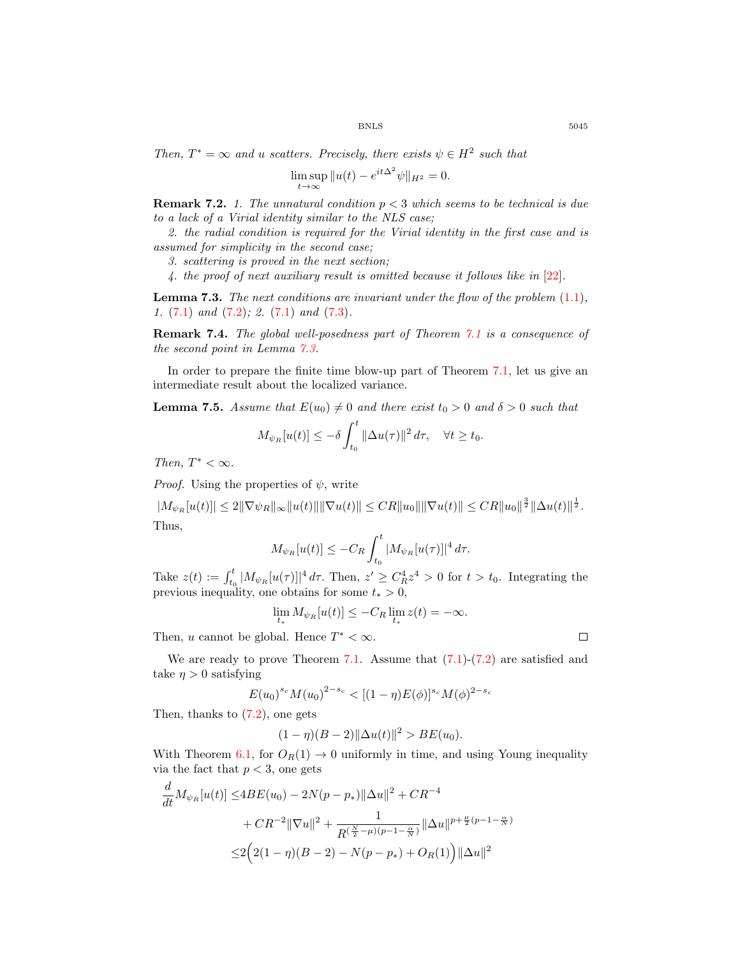*Then,*  $T^* = \infty$  *and u scatters. Precisely, there exists*  $\psi \in H^2$  *such that* 

$$
\limsup_{t \to \infty} \|u(t) - e^{it\Delta^2} \psi\|_{H^2} = 0.
$$

Remark 7.2. *1. The unnatural condition* p < 3 *which seems to be technical is due to a lack of a Virial identity similar to the NLS case;*

*2. the radial condition is required for the Virial identity in the first case and is assumed for simplicity in the second case;*

*3. scattering is proved in the next section;*

*4. the proof of next auxiliary result is omitted because it follows like in* [22]*.*

Lemma 7.3. *The next conditions are invariant under the flow of the problem* (1.1)*, 1.* (7.1) *and* (7.2)*; 2.* (7.1) *and* (7.3)*.*

Remark 7.4. *The global well-posedness part of Theorem 7.1 is a consequence of the second point in Lemma 7.3.*

In order to prepare the finite time blow-up part of Theorem 7.1, let us give an intermediate result about the localized variance.

**Lemma 7.5.** Assume that  $E(u_0) \neq 0$  and there exist  $t_0 > 0$  and  $\delta > 0$  such that

$$
M_{\psi_R}[u(t)] \leq -\delta \int_{t_0}^t ||\Delta u(\tau)||^2 d\tau, \quad \forall t \geq t_0.
$$

*Then,*  $T^* < \infty$ *.* 

*Proof.* Using the properties of  $\psi$ , write

 $|M_{\psi_R}[u(t)]| \leq 2\|\nabla \psi_R\|_{\infty} \|u(t)\| \|\nabla u(t)\| \leq C R \|u_0\| \|\nabla u(t)\| \leq C R \|u_0\|^{\frac{3}{2}} \|\Delta u(t)\|^{\frac{1}{2}}.$ Thus,

$$
M_{\psi_R}[u(t)] \le -C_R \int_{t_0}^t |M_{\psi_R}[u(\tau)]|^4 d\tau.
$$

Take  $z(t) := \int_{t_0}^t |M_{\psi_R}[u(\tau)]|^4 d\tau$ . Then,  $z' \geq C_R^4 z^4 > 0$  for  $t > t_0$ . Integrating the previous inequality, one obtains for some  $t_* > 0$ ,

$$
\lim_{t_*} M_{\psi_R}[u(t)] \le -C_R \lim_{t_*} z(t) = -\infty.
$$

Then, u cannot be global. Hence  $T^* < \infty$ .

We are ready to prove Theorem 7.1. Assume that  $(7.1)-(7.2)$  are satisfied and take  $\eta > 0$  satisfying

$$
E(u_0)^{s_c} M(u_0)^{2-s_c} < [(1-\eta)E(\phi)]^{s_c} M(\phi)^{2-s_c}
$$

Then, thanks to (7.2), one gets

$$
(1 - \eta)(B - 2)||\Delta u(t)||^2 > BE(u_0).
$$

With Theorem 6.1, for  $O_R(1) \rightarrow 0$  uniformly in time, and using Young inequality via the fact that  $p < 3$ , one gets

$$
\frac{d}{dt}M_{\psi_R}[u(t)] \le 4BE(u_0) - 2N(p - p_*) ||\Delta u||^2 + CR^{-4}
$$

$$
+ CR^{-2} ||\nabla u||^2 + \frac{1}{R^{(\frac{N}{2} - \mu)(p - 1 - \frac{\alpha}{N})}} ||\Delta u||^{p + \frac{\mu}{2}(p - 1 - \frac{\alpha}{N})}
$$

$$
\le 2(2(1 - \eta)(B - 2) - N(p - p_*) + O_R(1)) ||\Delta u||^2
$$

 $\Box$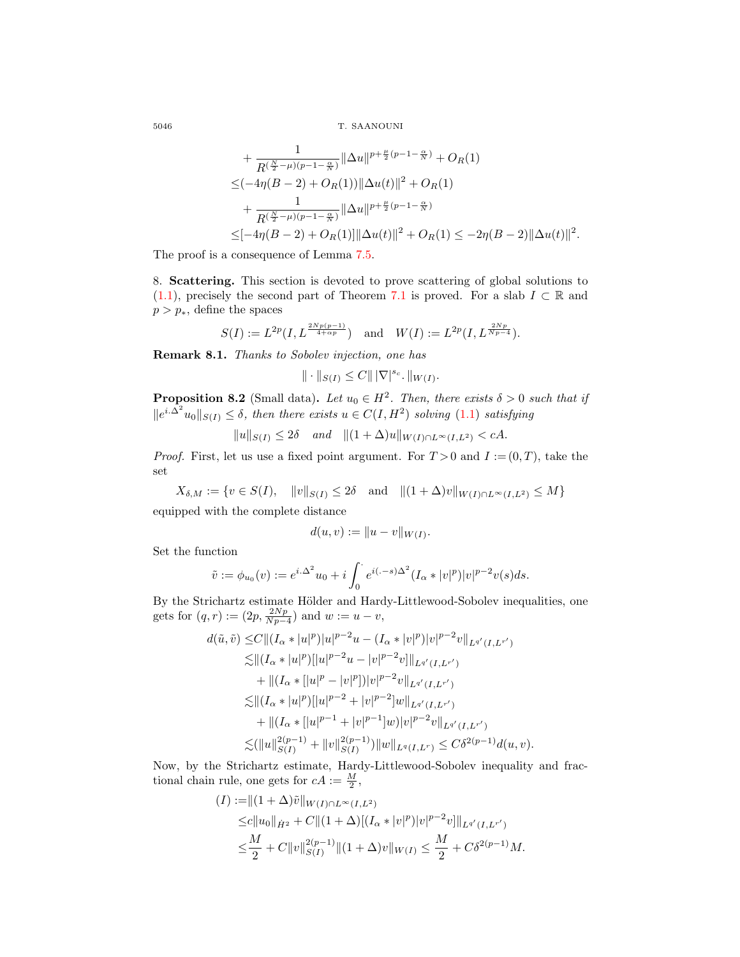5046 T. SAANOUNI

$$
+\frac{1}{R^{(\frac{N}{2}-\mu)(p-1-\frac{\alpha}{N})}}\|\Delta u\|^{p+\frac{\mu}{2}(p-1-\frac{\alpha}{N})}+O_R(1)
$$
  
\n
$$
\leq (-4\eta(B-2)+O_R(1))\|\Delta u(t)\|^2+O_R(1)
$$
  
\n
$$
+\frac{1}{R^{(\frac{N}{2}-\mu)(p-1-\frac{\alpha}{N})}}\|\Delta u\|^{p+\frac{\mu}{2}(p-1-\frac{\alpha}{N})}
$$
  
\n
$$
\leq [-4\eta(B-2)+O_R(1)]\|\Delta u(t)\|^2+O_R(1)\leq -2\eta(B-2)\|\Delta u(t)\|^2
$$

.

The proof is a consequence of Lemma 7.5.

8. Scattering. This section is devoted to prove scattering of global solutions to (1.1), precisely the second part of Theorem 7.1 is proved. For a slab  $I \subset \mathbb{R}$  and  $p > p_*$ , define the spaces

$$
S(I):=L^{2p}(I,L^{\frac{2Np(p-1)}{4+\alpha p}}) \quad \text{and} \quad W(I):=L^{2p}(I,L^{\frac{2Np}{Np-4}}).
$$

Remark 8.1. *Thanks to Sobolev injection, one has*

 $\| \cdot \|_{S(I)} \leq C \| |\nabla|^{s_c} \cdot \|_{W(I)}.$ 

**Proposition 8.2** (Small data). Let  $u_0 \in H^2$ . Then, there exists  $\delta > 0$  such that if  $||e^{i\Delta^2}u_0||_{S(I)} \leq \delta$ , then there exists  $u \in C(I, H^2)$  solving (1.1) satisfying

 $||u||_{S(I)} \leq 2\delta$  *and*  $||(1 + \Delta)u||_{W(I) \cap L^{\infty}(I,L^2)} < cA$ .

*Proof.* First, let us use a fixed point argument. For  $T > 0$  and  $I := (0, T)$ , take the set

 $X_{\delta,M} := \{v \in S(I), \quad \|v\|_{S(I)} \leq 2\delta \quad \text{and} \quad \|(1 + \Delta)v\|_{W(I) \cap L^{\infty}(I,L^2)} \leq M\}$ equipped with the complete distance

$$
d(u, v) := \|u - v\|_{W(I)}.
$$

Set the function

$$
\tilde{v} := \phi_{u_0}(v) := e^{i \Delta^2} u_0 + i \int_0^{\cdot} e^{i(-s)\Delta^2} (I_\alpha * |v|^p) |v|^{p-2} v(s) ds.
$$

By the Strichartz estimate Hölder and Hardy-Littlewood-Sobolev inequalities, one gets for  $(q, r) := (2p, \frac{2Np}{Np-4})$  and  $w := u - v$ ,

$$
d(\tilde{u}, \tilde{v}) \leq C \|(I_{\alpha} * |u|^p)|u|^{p-2}u - (I_{\alpha} * |v|^p)|v|^{p-2}v\|_{L^{q'}(I, L^{r'})}
$$
  
\n
$$
\lesssim \|(I_{\alpha} * |u|^p)[|u|^{p-2}u - |v|^{p-2}v]\|_{L^{q'}(I, L^{r'})}
$$
  
\n
$$
+ \|(I_{\alpha} * [|u|^p - |v|^p])|v|^{p-2}v\|_{L^{q'}(I, L^{r'})}
$$
  
\n
$$
\lesssim \|(I_{\alpha} * |u|^p)[|u|^{p-2} + |v|^{p-2}]w\|_{L^{q'}(I, L^{r'})}
$$
  
\n
$$
+ \|(I_{\alpha} * [|u|^{p-1} + |v|^{p-1}]w)|v|^{p-2}v\|_{L^{q'}(I, L^{r'})}
$$
  
\n
$$
\lesssim (\|u\|_{S(I)}^{2(p-1)} + \|v\|_{S(I)}^{2(p-1)})\|w\|_{L^{q}(I, L^{r})} \leq C\delta^{2(p-1)}d(u, v).
$$

Now, by the Strichartz estimate, Hardy-Littlewood-Sobolev inequality and fractional chain rule, one gets for  $cA := \frac{M}{2}$ ,

$$
(I) := ||(1 + \Delta)\tilde{v}||_{W(I) \cap L^{\infty}(I, L^{2})}
$$
  
\n
$$
\leq c||u_{0}||_{\dot{H}^{2}} + C||(1 + \Delta)[(I_{\alpha} * |v|^{p})|v|^{p-2}v]||_{L^{q'}(I, L^{r'})}
$$
  
\n
$$
\leq \frac{M}{2} + C||v||_{S(I)}^{2(p-1)}||(1 + \Delta)v||_{W(I)} \leq \frac{M}{2} + C\delta^{2(p-1)}M.
$$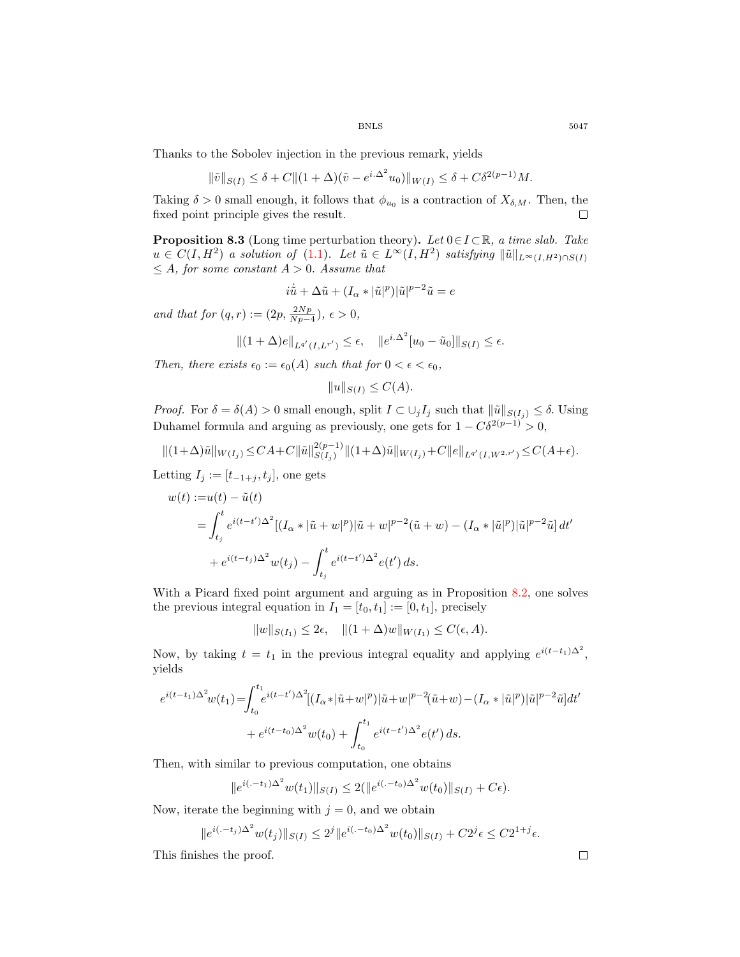Thanks to the Sobolev injection in the previous remark, yields

$$
\|\tilde{v}\|_{S(I)} \le \delta + C \|(1 + \Delta)(\tilde{v} - e^{i\Delta^2} u_0)\|_{W(I)} \le \delta + C\delta^{2(p-1)}M.
$$

Taking  $\delta > 0$  small enough, it follows that  $\phi_{u_0}$  is a contraction of  $X_{\delta,M}$ . Then, the fixed point principle gives the result.  $\Box$ 

Proposition 8.3 (Long time perturbation theory). *Let* 0∈I ⊂R*, a time slab. Take*  $u \in C(I, H^2)$  *a solution of* (1.1). Let  $\tilde{u} \in L^{\infty}(I, H^2)$  *satisfying*  $\|\tilde{u}\|_{L^{\infty}(I, H^2) \cap S(I)}$  $\leq A$ *, for some constant*  $A > 0$ *. Assume that* 

$$
i\dot{\tilde{u}} + \Delta \tilde{u} + (I_{\alpha} * |\tilde{u}|^p)|\tilde{u}|^{p-2}\tilde{u} = e
$$

*and that for*  $(q, r) := (2p, \frac{2Np}{Np-4}), \epsilon > 0,$ 

$$
||(1+\Delta)e||_{L^{q'}(I,L^{r'})} \leq \epsilon, \quad ||e^{i.\Delta^2}[u_0-\tilde{u}_0]||_{S(I)} \leq \epsilon.
$$

*Then, there exists*  $\epsilon_0 := \epsilon_0(A)$  *such that for*  $0 < \epsilon < \epsilon_0$ *,* 

$$
||u||_{S(I)} \leq C(A).
$$

*Proof.* For  $\delta = \delta(A) > 0$  small enough, split  $I \subset \bigcup_j I_j$  such that  $\|\tilde{u}\|_{S(I_j)} \leq \delta$ . Using Duhamel formula and arguing as previously, one gets for  $1 - C\delta^{2(p-1)} > 0$ ,

$$
||(1+\Delta)\tilde{u}||_{W(I_j)} \leq CA + C \|\tilde{u}\|_{S(I_j)}^{2(p-1)}||(1+\Delta)\tilde{u}||_{W(I_j)} + C||e||_{L^{q'}(I,W^{2,r'})} \leq C(A+\epsilon).
$$

Letting  $I_j := [t_{-1+j}, t_j]$ , one gets

$$
w(t) := u(t) - \tilde{u}(t)
$$
  
=  $\int_{t_j}^{t} e^{i(t-t')\Delta^2} [(I_{\alpha} * |\tilde{u} + w|^p) |\tilde{u} + w|^{p-2} (\tilde{u} + w) - (I_{\alpha} * |\tilde{u}|^p) |\tilde{u}|^{p-2} \tilde{u}] dt'$   
+  $e^{i(t-t_j)\Delta^2} w(t_j) - \int_{t_j}^{t} e^{i(t-t')\Delta^2} e(t') ds.$ 

With a Picard fixed point argument and arguing as in Proposition 8.2, one solves the previous integral equation in  $I_1 = [t_0, t_1] := [0, t_1]$ , precisely

 $||w||_{S(I_1)} \leq 2\epsilon, \quad ||(1 + \Delta)w||_{W(I_1)} \leq C(\epsilon, A).$ 

Now, by taking  $t = t_1$  in the previous integral equality and applying  $e^{i(t-t_1)\Delta^2}$ , yields

$$
e^{i(t-t_1)\Delta^2}w(t_1) = \int_{t_0}^{t_1} e^{i(t-t')\Delta^2} [(I_{\alpha}*|\tilde{u}+w|^p)|\tilde{u}+w|^{p-2}(\tilde{u}+w) - (I_{\alpha}*|\tilde{u}|^p)|\tilde{u}|^{p-2}\tilde{u}]dt'
$$
  
+ 
$$
e^{i(t-t_0)\Delta^2}w(t_0) + \int_{t_0}^{t_1} e^{i(t-t')\Delta^2}e(t')ds.
$$

Then, with similar to previous computation, one obtains

$$
||e^{i(-t_1)\Delta^2}w(t_1)||_{S(I)} \leq 2(||e^{i(-t_0)\Delta^2}w(t_0)||_{S(I)} + C\epsilon).
$$

Now, iterate the beginning with  $j = 0$ , and we obtain

$$
||e^{i(-t_j)\Delta^2}w(t_j)||_{S(I)} \le 2^j ||e^{i(-t_0)\Delta^2}w(t_0)||_{S(I)} + C2^j \epsilon \le C2^{1+j} \epsilon.
$$

This finishes the proof.

$$
\qquad \qquad \Box
$$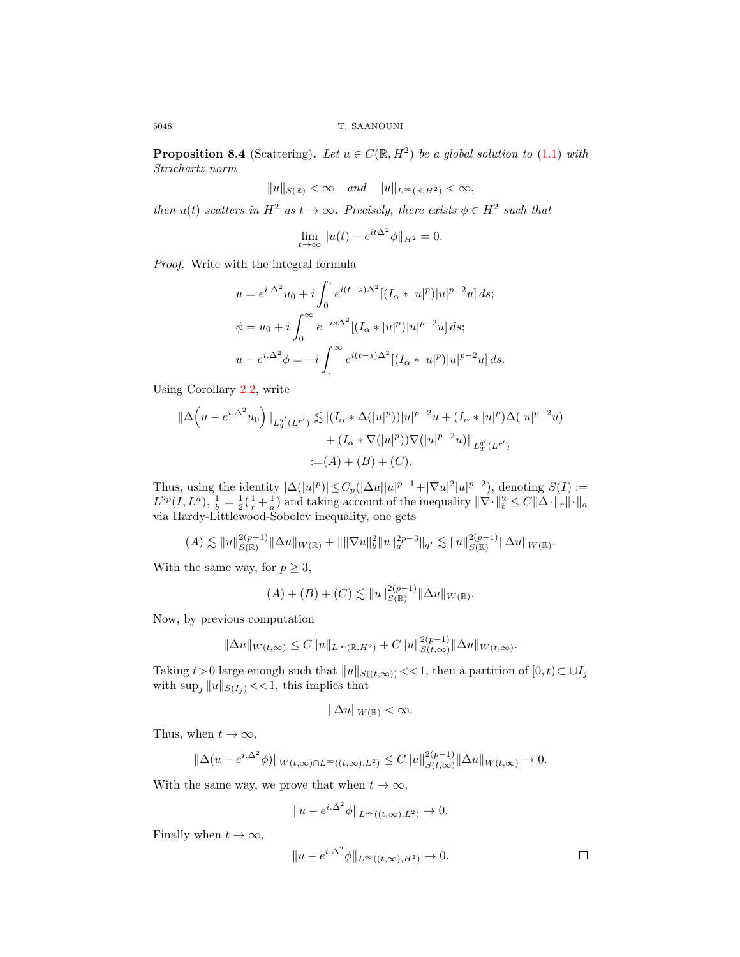**Proposition 8.4** (Scattering). Let  $u \in C(\mathbb{R}, H^2)$  be a global solution to (1.1) with *Strichartz norm*

$$
||u||_{S(\mathbb{R})} < \infty \quad and \quad ||u||_{L^{\infty}(\mathbb{R}, H^2)} < \infty,
$$

*then*  $u(t)$  *scatters in*  $H^2$  *as*  $t \to \infty$ *. Precisely, there exists*  $\phi \in H^2$  *such that* 

$$
\lim_{t \to \infty} \|u(t) - e^{it\Delta^2} \phi\|_{H^2} = 0.
$$

*Proof.* Write with the integral formula

$$
u = e^{i\Delta^2}u_0 + i \int_0^{\infty} e^{i(t-s)\Delta^2} [(I_{\alpha} * |u|^p)|u|^{p-2}u] ds;
$$
  

$$
\phi = u_0 + i \int_0^{\infty} e^{-is\Delta^2} [(I_{\alpha} * |u|^p)|u|^{p-2}u] ds;
$$
  

$$
u - e^{i\Delta^2} \phi = -i \int_0^{\infty} e^{i(t-s)\Delta^2} [(I_{\alpha} * |u|^p)|u|^{p-2}u] ds.
$$

Using Corollary 2.2, write

$$
\|\Delta \Big(u - e^{i\Delta^2} u_0\Big)\|_{L_T^{q'}(L^{r'})} \lesssim \|(I_\alpha * \Delta(|u|^p))|u|^{p-2}u + (I_\alpha * |u|^p)\Delta(|u|^{p-2}u) + (I_\alpha * \nabla(|u|^p))\nabla(|u|^{p-2}u)\|_{L_T^{q'}(L^{r'})} := (A) + (B) + (C).
$$

Thus, using the identity  $|\Delta(|u|^p)| \leq C_p(|\Delta u||u|^{p-1} + |\nabla u|^2|u|^{p-2})$ , denoting  $S(I) :=$  $L^{2p}(I, L^a)$ ,  $\frac{1}{b} = \frac{1}{2}(\frac{1}{r} + \frac{1}{a})$  and taking account of the inequality  $\|\nabla \cdot \|_b^2 \leq C \|\Delta \cdot \|_r \|\cdot \|_a$ via Hardy-Littlewood-Sobolev inequality, one gets

$$
(A) \lesssim ||u||_{S(\mathbb{R})}^{2(p-1)} ||\Delta u||_{W(\mathbb{R})} + |||\nabla u||_b^2 ||u||_a^{2p-3} ||q|_{q'} \lesssim ||u||_{S(\mathbb{R})}^{2(p-1)} ||\Delta u||_{W(\mathbb{R})}.
$$

With the same way, for  $p \geq 3$ ,

$$
(A) + (B) + (C) \lesssim \|u\|_{S(\mathbb{R})}^{2(p-1)} \|\Delta u\|_{W(\mathbb{R})}.
$$

Now, by previous computation

$$
\|\Delta u\|_{W(t,\infty)} \leq C \|u\|_{L^\infty(\mathbb{R},H^2)} + C \|u\|_{S(t,\infty)}^{2(p-1)} \|\Delta u\|_{W(t,\infty)}.
$$

Taking  $t>0$  large enough such that  $||u||_{S((t,\infty))} << 1$ , then a partition of  $[0, t) \subset \cup I_j$ with  $\sup_j ||u||_{S(I_j)} << 1$ , this implies that

$$
\|\Delta u\|_{W(\mathbb{R})}<\infty.
$$

Thus, when  $t \to \infty$ ,

$$
\|\Delta(u - e^{i\cdot\Delta^2}\phi)\|_{W(t,\infty)\cap L^\infty((t,\infty),L^2)} \leq C \|u\|_{S(t,\infty)}^{2(p-1)} \|\Delta u\|_{W(t,\infty)} \to 0.
$$

With the same way, we prove that when  $t \to \infty$ ,

$$
||u - e^{i\Delta^2} \phi||_{L^\infty((t,\infty),L^2)} \to 0.
$$

Finally when  $t \to \infty$ ,

$$
||u - e^{i\Delta^2} \phi||_{L^\infty((t,\infty),H^1)} \to 0.
$$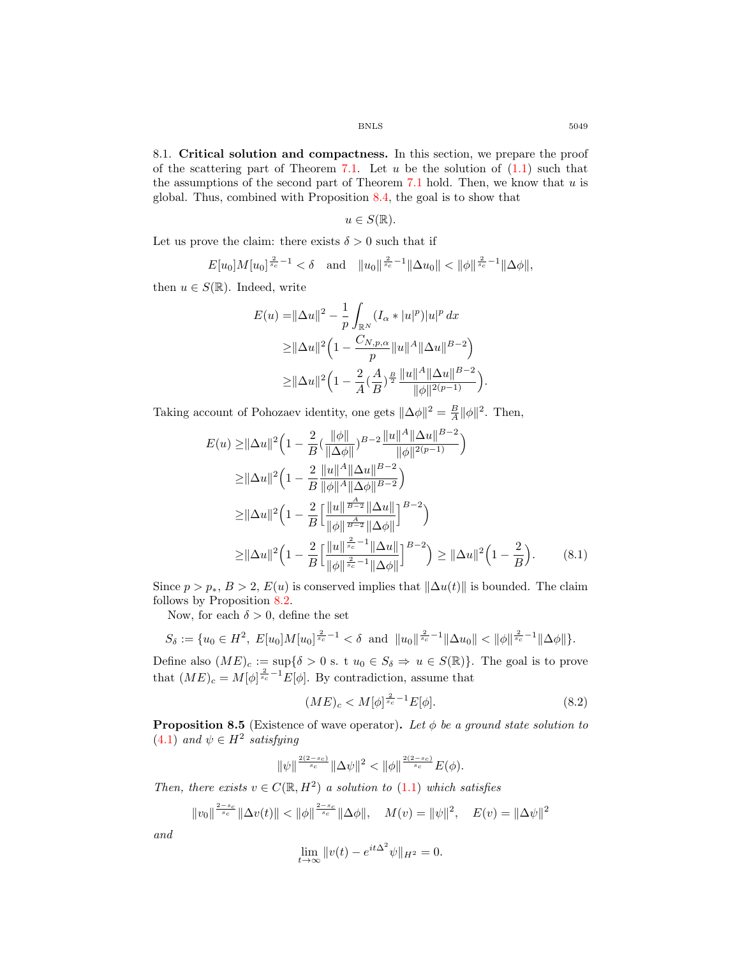8.1. Critical solution and compactness. In this section, we prepare the proof of the scattering part of Theorem 7.1. Let u be the solution of  $(1.1)$  such that the assumptions of the second part of Theorem 7.1 hold. Then, we know that  $u$  is global. Thus, combined with Proposition 8.4, the goal is to show that

$$
u\in S(\mathbb{R}).
$$

Let us prove the claim: there exists  $\delta > 0$  such that if

$$
E[u_0]M[u_0]^{\frac{2}{s_c}-1} < \delta \quad \text{and} \quad ||u_0||^{\frac{2}{s_c}-1}||\Delta u_0|| < ||\phi||^{\frac{2}{s_c}-1}||\Delta \phi||,
$$

then  $u \in S(\mathbb{R})$ . Indeed, write

$$
E(u) = \|\Delta u\|^2 - \frac{1}{p} \int_{\mathbb{R}^N} (I_{\alpha} * |u|^p)|u|^p dx
$$
  
\n
$$
\geq \|\Delta u\|^2 \left(1 - \frac{C_{N,p,\alpha}}{p} \|u\|^A \|\Delta u\|^{B-2}\right)
$$
  
\n
$$
\geq \|\Delta u\|^2 \left(1 - \frac{2}{A} (\frac{A}{B})^{\frac{B}{2}} \frac{\|u\|^A \|\Delta u\|^{B-2}}{\|\phi\|^{2(p-1)}}\right).
$$

Taking account of Pohozaev identity, one gets  $\|\Delta\phi\|^2 = \frac{B}{A}\|\phi\|^2$ . Then,

$$
E(u) \ge ||\Delta u||^2 \left(1 - \frac{2}{B} \left(\frac{||\phi||}{\|\Delta \phi\|}\right)^{B-2} \frac{||u||^A ||\Delta u||^{B-2}}{||\phi||^{2(p-1)}}\right)
$$
  
\n
$$
\ge ||\Delta u||^2 \left(1 - \frac{2}{B} \frac{||u||^A ||\Delta u||^{B-2}}{||\phi||^A ||\Delta \phi||^{B-2}}\right)
$$
  
\n
$$
\ge ||\Delta u||^2 \left(1 - \frac{2}{B} \left[\frac{||u||^{\frac{A}{B-2}} ||\Delta u||}{||\phi||^{\frac{A}{B-2}} ||\Delta \phi||}\right]^{B-2}\right)
$$
  
\n
$$
\ge ||\Delta u||^2 \left(1 - \frac{2}{B} \left[\frac{||u||^{\frac{2}{s_c}-1} ||\Delta u||}{||\phi||^{\frac{2}{s_c}-1} ||\Delta u||}\right]^{B-2}\right) \ge ||\Delta u||^2 \left(1 - \frac{2}{B}\right).
$$
 (8.1)

Since  $p > p_*, B > 2, E(u)$  is conserved implies that  $\|\Delta u(t)\|$  is bounded. The claim follows by Proposition 8.2.

Now, for each  $\delta > 0$ , define the set

$$
S_{\delta} := \{ u_0 \in H^2, E[u_0]M[u_0]^{\frac{2}{s_c}-1} < \delta \text{ and } ||u_0||^{\frac{2}{s_c}-1} ||\Delta u_0|| < ||\phi||^{\frac{2}{s_c}-1} ||\Delta \phi|| \}.
$$

Define also  $(ME)_c := \sup\{\delta > 0 \text{ s. t } u_0 \in S_\delta \Rightarrow u \in S(\mathbb{R})\}.$  The goal is to prove that  $(ME)_c = M[\phi]^{2 \over s_c-1} E[\phi]$ . By contradiction, assume that

$$
(ME)_c < M[\phi]^\frac{2}{s_c-1} E[\phi].\tag{8.2}
$$

**Proposition 8.5** (Existence of wave operator). Let  $\phi$  be a ground state solution to  $(4.1)$  *and*  $\psi \in H^2$  *satisfying* 

$$
\|\psi\|^{\frac{2(2-s_c)}{s_c}} \|\Delta \psi\|^2 < \|\phi\|^{\frac{2(2-s_c)}{s_c}} E(\phi).
$$

*Then, there exists*  $v \in C(\mathbb{R}, H^2)$  *a solution to* (1.1) *which satisfies* 

$$
||v_0||^{\frac{2-s_c}{s_c}}||\Delta v(t)|| < ||\phi||^{\frac{2-s_c}{s_c}}||\Delta \phi||, \quad M(v) = ||\psi||^2, \quad E(v) = ||\Delta \psi||^2
$$

*and*

$$
\lim_{t \to \infty} ||v(t) - e^{it\Delta^2} \psi||_{H^2} = 0.
$$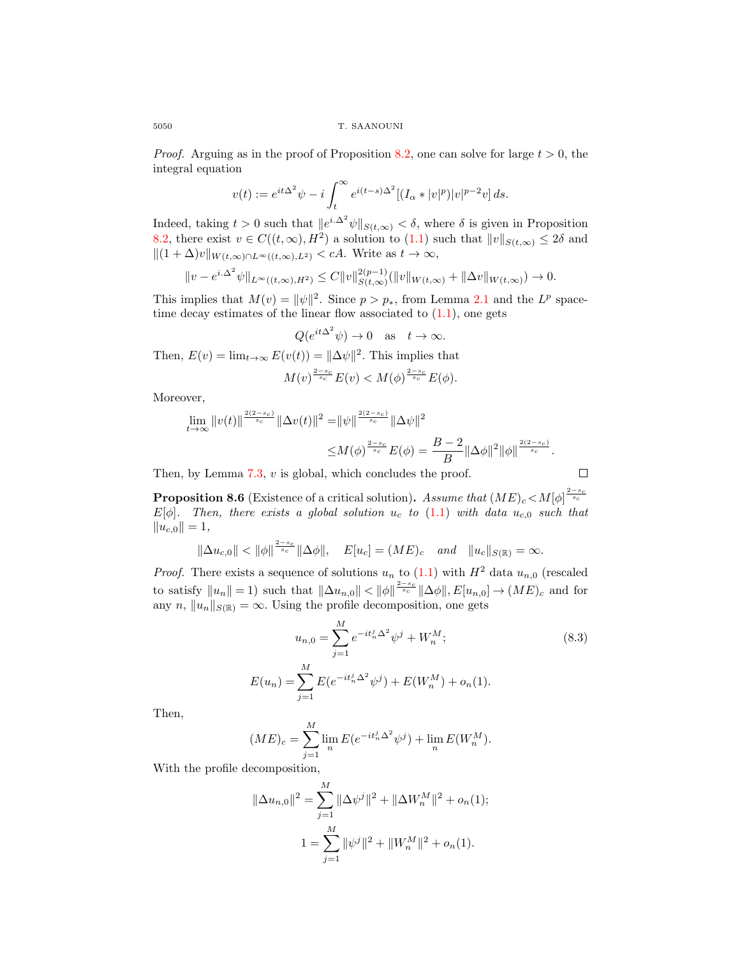*Proof.* Arguing as in the proof of Proposition 8.2, one can solve for large  $t > 0$ , the integral equation

$$
v(t) := e^{it\Delta^2} \psi - i \int_t^\infty e^{i(t-s)\Delta^2} [(I_\alpha * |v|^p)|v|^{p-2}v] ds.
$$

Indeed, taking  $t > 0$  such that  $||e^{i\Delta^2}\psi||_{S(t,\infty)} < \delta$ , where  $\delta$  is given in Proposition 8.2, there exist  $v \in C((t,\infty),H^2)$  a solution to  $(1.1)$  such that  $||v||_{S(t,\infty)} \leq 2\delta$  and  $||(1 + \Delta)v||_{W(t,\infty) \cap L^{\infty}((t,\infty),L^2)} < cA$ . Write as  $t \to \infty$ ,

$$
||v - e^{i\Delta^2} \psi||_{L^{\infty}((t,\infty),H^2)} \leq C ||v||_{S(t,\infty)}^{2(p-1)} (||v||_{W(t,\infty)} + ||\Delta v||_{W(t,\infty)}) \to 0.
$$

This implies that  $M(v) = ||\psi||^2$ . Since  $p > p_*$ , from Lemma 2.1 and the  $L^p$  spacetime decay estimates of the linear flow associated to  $(1.1)$ , one gets

$$
Q(e^{it\Delta^2}\psi) \to 0
$$
 as  $t \to \infty$ .

Then,  $E(v) = \lim_{t \to \infty} E(v(t)) = ||\Delta \psi||^2$ . This implies that

$$
M(v)^{\frac{2-s_c}{s_c}}E(v) < M(\phi)^{\frac{2-s_c}{s_c}}E(\phi).
$$

Moreover,

$$
\lim_{t \to \infty} ||v(t)||^{\frac{2(2-s_c)}{s_c}} ||\Delta v(t)||^2 = ||\psi||^{\frac{2(2-s_c)}{s_c}} ||\Delta \psi||^2
$$
  

$$
\leq M(\phi)^{\frac{2-s_c}{s_c}} E(\phi) = \frac{B-2}{B} ||\Delta \phi||^2 ||\phi||^{\frac{2(2-s_c)}{s_c}}.
$$

Then, by Lemma  $7.3$ ,  $v$  is global, which concludes the proof.

$$
\Box
$$

**Proposition 8.6** (Existence of a critical solution). Assume that  $(ME)_c < M[\phi]$ <sup> $\frac{2-s_c}{s_c}$ </sup>  $E[\phi]$ . Then, there exists a global solution  $u_c$  to (1.1) with data  $u_{c,0}$  such that  $||u_{c,0}|| = 1,$ 

$$
\|\Delta u_{c,0}\| < \|\phi\|^{\frac{2-s_c}{s_c}} \|\Delta \phi\|, \quad E[u_c] = (ME)_c \quad and \quad \|u_c\|_{S(\mathbb{R})} = \infty.
$$

*Proof.* There exists a sequence of solutions  $u_n$  to (1.1) with  $H^2$  data  $u_{n,0}$  (rescaled to satisfy  $||u_n|| = 1$ ) such that  $||\Delta u_{n,0}|| < ||\phi||^{\frac{2-s_c}{s_c}} ||\Delta \phi||, E[u_{n,0}] \rightarrow (ME)_c$  and for any n,  $||u_n||_{S(\mathbb{R})} = \infty$ . Using the profile decomposition, one gets

$$
u_{n,0} = \sum_{j=1}^{M} e^{-it_n^j \Delta^2} \psi^j + W_n^M;
$$
\n
$$
E(u_n) = \sum_{j=1}^{M} E(e^{-it_n^j \Delta^2} \psi^j) + E(W_n^M) + o_n(1).
$$
\n(8.3)

Then,

$$
(ME)_c = \sum_{j=1}^{M} \lim_{n} E(e^{-it_n^j \Delta^2} \psi^j) + \lim_{n} E(W_n^M).
$$

With the profile decomposition,

$$
\|\Delta u_{n,0}\|^2 = \sum_{j=1}^M \|\Delta \psi^j\|^2 + \|\Delta W_n^M\|^2 + o_n(1);
$$
  

$$
1 = \sum_{j=1}^M \|\psi^j\|^2 + \|W_n^M\|^2 + o_n(1).
$$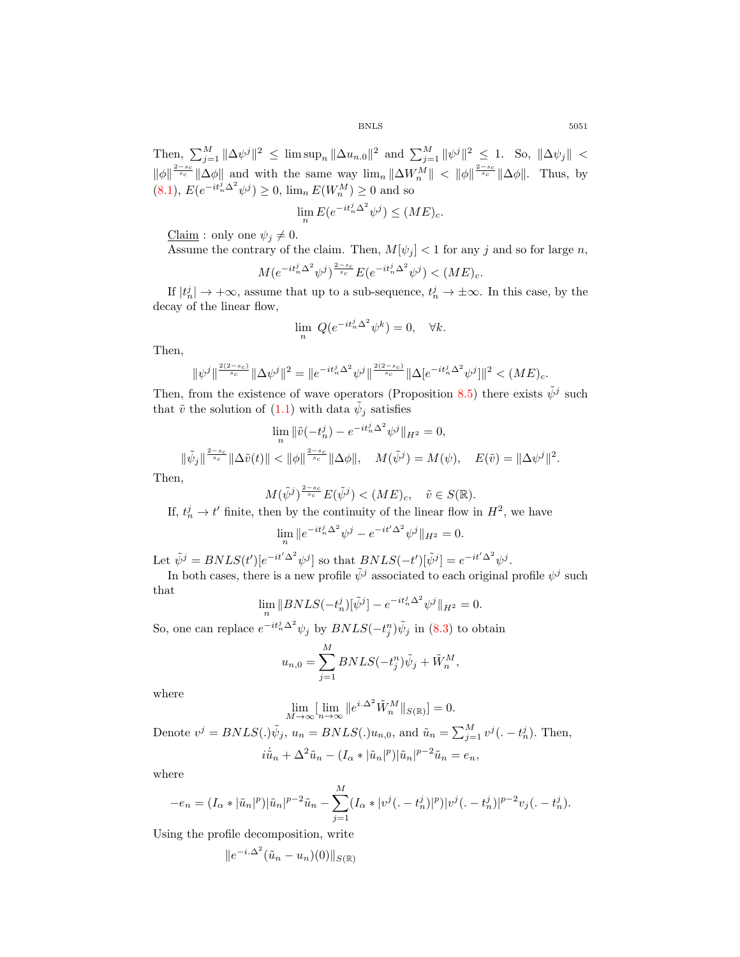Then,  $\sum_{j=1}^{M} ||\Delta \psi^j||^2 \leq \limsup_n ||\Delta u_{n,0}||^2$  and  $\sum_{j=1}^{M} ||\psi^j||^2 \leq 1$ . So,  $||\Delta \psi_j|| <$  $\|\phi\|_{s_c}^{\frac{2-s_c}{s_c}} \|\Delta \phi\|$  and with the same way  $\lim_n \|\Delta W_n^M\| < \|\phi\|_{s_c}^{\frac{2-s_c}{s_c}} \|\Delta \phi\|$ . Thus, by  $(8.1), E(e^{-it_n^j\Delta^2}\psi^j) \ge 0, \lim_n E(W_n^M) \ge 0$  and so

$$
\lim_{n} E(e^{-it_n^j \Delta^2} \psi^j) \le (ME)_c.
$$

Claim : only one  $\psi_j \neq 0$ .

Assume the contrary of the claim. Then,  $M[\psi_j] < 1$  for any j and so for large n,

$$
M(e^{-it_n^j\Delta^2}\psi^j)^{\frac{2-s_c}{s_c}}E(e^{-it_n^j\Delta^2}\psi^j) < (ME)_c.
$$

If  $|t_n^j| \to +\infty$ , assume that up to a sub-sequence,  $t_n^j \to \pm\infty$ . In this case, by the decay of the linear flow,

$$
\lim_{n} Q(e^{-it_n^j \Delta^2} \psi^k) = 0, \quad \forall k.
$$

Then,

$$
\|\psi^j\|^{\frac{2(2-s_c)}{s_c}}\|\Delta\psi^j\|^2=\|e^{-it_n^j\Delta^2}\psi^j\|^{\frac{2(2-s_c)}{s_c}}\|\Delta[e^{-it_n^j\Delta^2}\psi^j]\|^2<(ME)_c.
$$

Then, from the existence of wave operators (Proposition 8.5) there exists  $\tilde{\psi}^j$  such that  $\tilde{v}$  the solution of  $(1.1)$  with data  $\tilde{\psi}_j$  satisfies

$$
\lim_{n} \|\tilde{v}(-t_n^j) - e^{-it_n^j \Delta^2} \psi^j\|_{H^2} = 0,
$$
  

$$
\|\tilde{\psi}_j\|_{s_c}^{\frac{2-s_c}{s_c}} \|\Delta \tilde{v}(t)\| < \|\phi\|_{s_c}^{\frac{2-s_c}{s_c}} \|\Delta \phi\|, \quad M(\tilde{\psi}^j) = M(\psi), \quad E(\tilde{v}) = \|\Delta \psi^j\|^2.
$$

Then,

$$
M(\tilde{\psi}^j)^{\frac{2-s_c}{s_c}} E(\tilde{\psi}^j) < (ME)_c, \quad \tilde{v} \in S(\mathbb{R}).
$$

If,  $t_n^j \rightarrow t'$  finite, then by the continuity of the linear flow in  $H^2$ , we have

$$
\lim_{n} \|e^{-it_n^j \Delta^2} \psi^j - e^{-it' \Delta^2} \psi^j\|_{H^2} = 0.
$$

Let  $\tilde{\psi}^j = B N L S(t') [e^{-it'\Delta^2} \psi^j]$  so that  $B N L S(-t') [\tilde{\psi}^j] = e^{-it'\Delta^2} \psi^j$ .

In both cases, there is a new profile  $\tilde{\psi}^j$  associated to each original profile  $\psi^j$  such that

$$
\lim_{n} \|B NLS(-t_n^j)[\tilde{\psi}^j] - e^{-it_n^j \Delta^2} \psi^j \|_{H^2} = 0.
$$

So, one can replace  $e^{-it_n^j \Delta^2} \psi_j$  by  $BNLS(-t_j^n)\tilde{\psi}_j$  in (8.3) to obtain

$$
u_{n,0} = \sum_{j=1}^{M} BNLS(-t_j^n)\tilde{\psi}_j + \tilde{W}_n^M,
$$

where

$$
\lim_{M \to \infty} \left[ \lim_{n \to \infty} \|e^{i\cdot \Delta^2} \tilde{W}_n^M \|_{S(\mathbb{R})} \right] = 0.
$$

Denote  $v^j = BNLS(.)\tilde{\psi}_j$ ,  $u_n = BNLS(.)u_{n,0}$ , and  $\tilde{u}_n = \sum_{j=1}^M v^j(.-t_n^j)$ . Then,  $i\dot{\tilde{u}}_n + \Delta^2 \tilde{u}_n - (I_\alpha * |\tilde{u}_n|^p) |\tilde{u}_n|^{p-2} \tilde{u}_n = e_n,$ 

where

$$
-e_n = (I_\alpha * |\tilde{u}_n|^p)|\tilde{u}_n|^{p-2}\tilde{u}_n - \sum_{j=1}^M (I_\alpha * |v^j(.-t_n^j)|^p)|v^j(.-t_n^j)|^{p-2}v_j(.-t_n^j).
$$

Using the profile decomposition, write

$$
||e^{-i.\Delta^2}(\tilde{u}_n - u_n)(0)||_{S(\mathbb{R})}
$$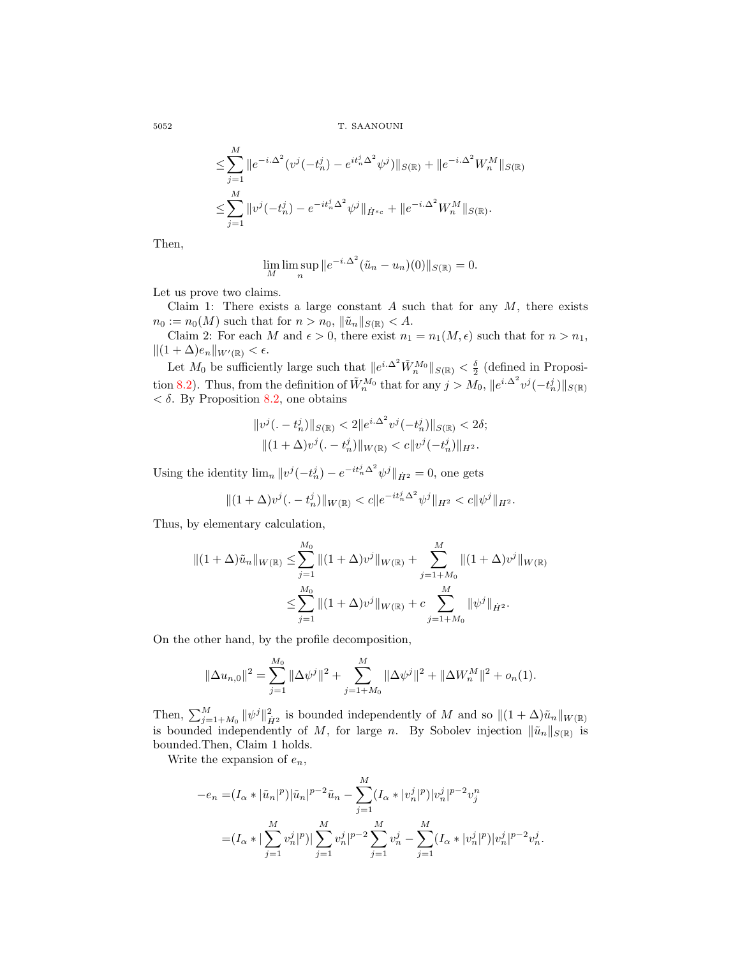5052 T. SAANOUNI

$$
\leq \sum_{j=1}^{M} \|e^{-i\cdot\Delta^2} (v^j(-t_n^j) - e^{it_n^j\Delta^2} \psi^j)\|_{S(\mathbb{R})} + \|e^{-i\cdot\Delta^2} W_n^M\|_{S(\mathbb{R})}
$$
  

$$
\leq \sum_{j=1}^{M} \|v^j(-t_n^j) - e^{-it_n^j\Delta^2} \psi^j\|_{\dot{H}^{s_c}} + \|e^{-i\cdot\Delta^2} W_n^M\|_{S(\mathbb{R})}.
$$

Then,

$$
\lim_{M} \lim_{n} \sup \|e^{-i.\Delta^2} (\tilde{u}_n - u_n)(0)\|_{S(\mathbb{R})} = 0.
$$

Let us prove two claims.

Claim 1: There exists a large constant  $A$  such that for any  $M$ , there exists  $n_0 := n_0(M)$  such that for  $n > n_0$ ,  $\|\tilde{u}_n\|_{S(\mathbb{R})} < A$ .

Claim 2: For each M and  $\epsilon > 0$ , there exist  $n_1 = n_1(M, \epsilon)$  such that for  $n > n_1$ ,  $||(1 + \Delta)e_n||_{W'(\mathbb{R})} < \epsilon.$ 

Let  $M_0$  be sufficiently large such that  $||e^{i\Delta^2}\tilde{W}_n^{M_0}||_{S(\mathbb{R})} < \frac{\delta}{2}$  (defined in Proposition 8.2). Thus, from the definition of  $\tilde{W}_n^{M_0}$  that for any  $j > M_0$ ,  $||e^{i\Delta^2}v^j(-t_n^j)||_{S(\mathbb{R})}$  $< \delta$ . By Proposition 8.2, one obtains

$$
||v^{j}(. - t_{n}^{j})||_{S(\mathbb{R})} < 2||e^{i.\Delta^{2}}v^{j}(-t_{n}^{j})||_{S(\mathbb{R})} < 2\delta;
$$
  

$$
||(1 + \Delta)v^{j}(. - t_{n}^{j})||_{W(\mathbb{R})} < c||v^{j}(-t_{n}^{j})||_{H^{2}}.
$$

Using the identity  $\lim_{n} ||v^{j}(-t_{n}^{j}) - e^{-it_{n}^{j}\Delta^{2}}\psi^{j}||_{\dot{H}^{2}} = 0$ , one gets

$$
||(1+\Delta)v^{j}(. - t_{n}^{j})||_{W(\mathbb{R})} < c||e^{-it_{n}^{j}\Delta^{2}}\psi^{j}||_{H^{2}} < c||\psi^{j}||_{H^{2}}.
$$

Thus, by elementary calculation,

$$
||(1+\Delta)\tilde{u}_n||_{W(\mathbb{R})} \le \sum_{j=1}^{M_0}||(1+\Delta)v^j||_{W(\mathbb{R})} + \sum_{j=1+M_0}^{M}||(1+\Delta)v^j||_{W(\mathbb{R})}
$$
  

$$
\le \sum_{j=1}^{M_0}||(1+\Delta)v^j||_{W(\mathbb{R})} + c \sum_{j=1+M_0}^{M} ||\psi^j||_{\dot{H}^2}.
$$

On the other hand, by the profile decomposition,

$$
\|\Delta u_{n,0}\|^2 = \sum_{j=1}^{M_0} \|\Delta \psi^j\|^2 + \sum_{j=1+M_0}^{M} \|\Delta \psi^j\|^2 + \|\Delta W_n^M\|^2 + o_n(1).
$$

Then,  $\sum_{j=1+M_0}^{M} ||\psi^j||_{\dot{H}^2}^2$  is bounded independently of M and so  $||(1 + \Delta)\tilde{u}_n||_{W(\mathbb{R})}$ is bounded independently of M, for large n. By Sobolev injection  $\|\tilde{u}_n\|_{S(\mathbb{R})}$  is bounded.Then, Claim 1 holds.

Write the expansion of  $e_n$ ,

$$
-e_n = (I_\alpha * |\tilde{u}_n|^p) |\tilde{u}_n|^{p-2} \tilde{u}_n - \sum_{j=1}^M (I_\alpha * |v_n^j|^p) |v_n^j|^{p-2} v_j^n
$$
  

$$
= (I_\alpha * |\sum_{j=1}^M v_n^j|^p) |\sum_{j=1}^M v_n^j|^{p-2} \sum_{j=1}^M v_n^j - \sum_{j=1}^M (I_\alpha * |v_n^j|^p) |v_n^j|^{p-2} v_n^j.
$$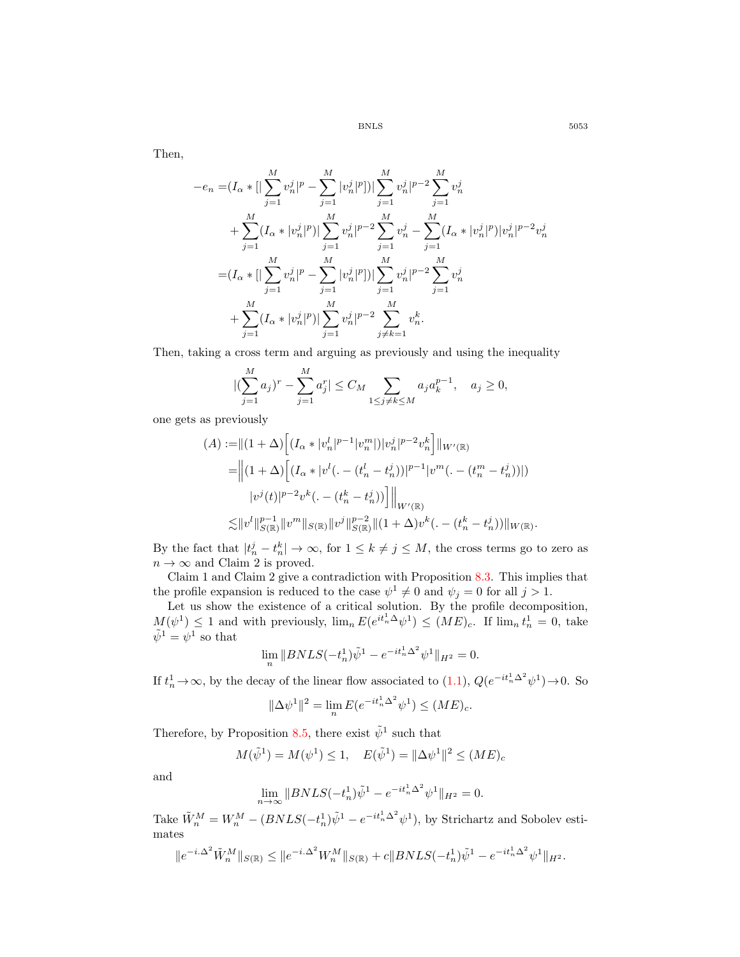Then,

$$
-e_n = (I_\alpha * [|\sum_{j=1}^M v_n^j|^p - \sum_{j=1}^M |v_n^j|^p])|\sum_{j=1}^M v_n^j|^{p-2} \sum_{j=1}^M v_n^j
$$
  
+ 
$$
\sum_{j=1}^M (I_\alpha * |v_n^j|^p)|\sum_{j=1}^M v_n^j|^{p-2} \sum_{j=1}^M v_n^j - \sum_{j=1}^M (I_\alpha * |v_n^j|^p)|v_n^j|^{p-2}v_n^j
$$
  
= 
$$
(I_\alpha * [|\sum_{j=1}^M v_n^j|^p - \sum_{j=1}^M |v_n^j|^p])|\sum_{j=1}^M v_n^j|^{p-2} \sum_{j=1}^M v_n^j
$$
  
+ 
$$
\sum_{j=1}^M (I_\alpha * |v_n^j|^p)|\sum_{j=1}^M v_n^j|^{p-2} \sum_{j \neq k=1}^M v_n^k.
$$

Then, taking a cross term and arguing as previously and using the inequality

$$
|(\sum_{j=1}^{M} a_j)^r - \sum_{j=1}^{M} a_j^r| \le C_M \sum_{1 \le j \ne k \le M} a_j a_k^{p-1}, \quad a_j \ge 0,
$$

one gets as previously

$$
(A) := ||(1 + \Delta)\left[ (I_{\alpha} * |v_n^l|^{p-1} |v_n^m|) |v_n^j|^{p-2} v_n^k \right] ||w'(\mathbb{R})
$$
  
\n
$$
= ||(1 + \Delta)\left[ (I_{\alpha} * |v^l( . - (t_n^l - t_n^j))|^{p-1} |v^m( . - (t_n^m - t_n^j))| )\right]
$$
  
\n
$$
|v^j(t)|^{p-2} v^k( . - (t_n^k - t_n^j)) \right] ||_{W'(\mathbb{R})}
$$
  
\n
$$
\lesssim ||v^l||_{S(\mathbb{R})}^{p-1} ||v^m||_{S(\mathbb{R})} ||v^j||_{S(\mathbb{R})}^{p-2} ||(1 + \Delta)v^k( . - (t_n^k - t_n^j))||_{W(\mathbb{R})}.
$$

By the fact that  $|t_n^j - t_n^k| \to \infty$ , for  $1 \le k \ne j \le M$ , the cross terms go to zero as  $n \to \infty$  and Claim 2 is proved.

Claim 1 and Claim 2 give a contradiction with Proposition 8.3. This implies that the profile expansion is reduced to the case  $\psi^1 \neq 0$  and  $\psi_j = 0$  for all  $j > 1$ . the profile expansion is reduced to the case  $\psi^1 \neq 0$  and  $\psi_j = 0$  for all  $j > 1$ .

Let us show the existence of a critical solution. By the profile decomposition,  $M(\psi^1) \leq 1$  and with previously,  $\lim_n E(e^{it_n^1\Delta}\psi^1) \leq (ME)_c$ . If  $\lim_n t_n^1 = 0$ , take  $\tilde{\psi}^1 = \psi^1$  so that

$$
\lim_{n} \|BNLS(-t_n^1)\tilde{\psi}^1 - e^{-it_n^1\Delta^2}\psi^1\|_{H^2} = 0.
$$

If  $t_n^1 \to \infty$ , by the decay of the linear flow associated to  $(1.1)$ ,  $Q(e^{-it_n^1 \Delta^2} \psi^1) \to 0$ . So

$$
\|\Delta \psi^1\|^2 = \lim_{n} E(e^{-it_n^1 \Delta^2} \psi^1) \le (ME)_c.
$$

Therefore, by Proposition 8.5, there exist  $\tilde{\psi}^1$  such that

$$
M(\tilde{\psi}^1) = M(\psi^1) \le 1, \quad E(\tilde{\psi}^1) = ||\Delta \psi^1||^2 \le (ME)_c
$$

and

$$
\lim_{n \to \infty} ||BNLS(-t_n^1)\tilde{\psi}^1 - e^{-it_n^1 \Delta^2} \psi^1||_{H^2} = 0.
$$

Take  $\tilde{W}_n^M = W_n^M - (BNLS(-t_n^1)\tilde{\psi}^1 - e^{-it_n^1\Delta^2}\psi^1)$ , by Strichartz and Sobolev estimates

$$
||e^{-i.\Delta^2} \tilde{W}_n^M||_{S(\mathbb{R})} \le ||e^{-i.\Delta^2} W_n^M||_{S(\mathbb{R})} + c||BNLS(-t_n^1)\tilde{\psi}^1 - e^{-it_n^1\Delta^2} \psi^1||_{H^2}.
$$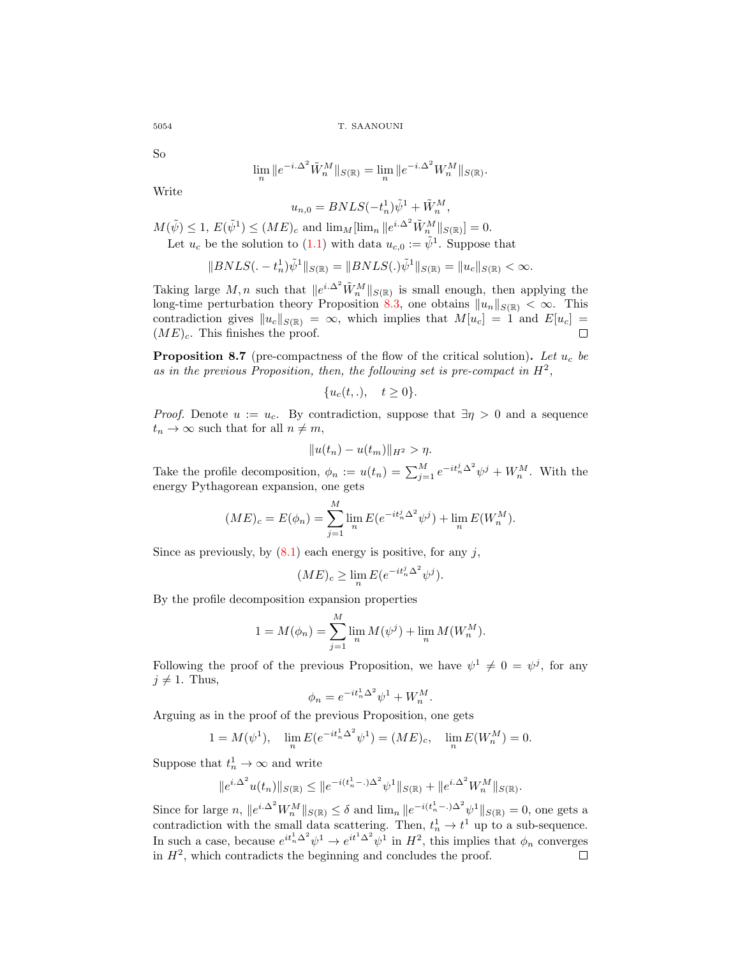So

$$
\lim_{n} \|e^{-i \cdot \Delta^2} \tilde{W}_n^M\|_{S(\mathbb{R})} = \lim_{n} \|e^{-i \cdot \Delta^2} W_n^M\|_{S(\mathbb{R})}.
$$

Write

 $u_{n,0} = BNLS(-t_n^1)\tilde{\psi}^1 + \tilde{W}_n^M,$ 

 $M(\tilde{\psi}) \leq 1, E(\tilde{\psi}^1) \leq (ME)_c$  and  $\lim_{M} [\lim_{n} ||e^{i\Delta^2} \tilde{W}_n^M ||_{S(\mathbb{R})}] = 0.$ Let  $u_c$  be the solution to (1.1) with data  $u_{c,0} := \tilde{\psi}^1$ . Suppose that

$$
||BNLS(.-t_n^1)\tilde{\psi}^1||_{S(\mathbb{R})} = ||BNLS(.)\tilde{\psi}^1||_{S(\mathbb{R})} = ||u_c||_{S(\mathbb{R})} < \infty.
$$

Taking large M, n such that  $||e^{i\Delta^2} \tilde{W}_n^M||_{S(\mathbb{R})}$  is small enough, then applying the long-time perturbation theory Proposition 8.3, one obtains  $||u_n||_{S(\mathbb{R})} < \infty$ . This contradiction gives  $||u_c||_{S(\mathbb{R})} = \infty$ , which implies that  $M[u_c] = 1$  and  $E[u_c] = (ME)_{\alpha}$ . This finishes the proof.  $(ME)<sub>c</sub>$ . This finishes the proof.

**Proposition 8.7** (pre-compactness of the flow of the critical solution). Let  $u_c$  be as in the previous Proposition, then, the following set is pre-compact in  $H^2$ ,

$$
\{u_c(t,.)\}, \quad t \ge 0\}.
$$

*Proof.* Denote  $u := u_c$ . By contradiction, suppose that  $\exists \eta > 0$  and a sequence  $t_n \to \infty$  such that for all  $n \neq m$ ,

$$
||u(t_n) - u(t_m)||_{H^2} > \eta.
$$

Take the profile decomposition,  $\phi_n := u(t_n) = \sum_{j=1}^M e^{-it_n^j \Delta^2} \psi^j + W_n^M$ . With the energy Pythagorean expansion, one gets

$$
(ME)_c = E(\phi_n) = \sum_{j=1}^M \lim_n E(e^{-it_n^j \Delta^2} \psi^j) + \lim_n E(W_n^M).
$$

Since as previously, by  $(8.1)$  each energy is positive, for any j,

$$
(ME)_c \ge \lim_n E(e^{-it_n^j \Delta^2} \psi^j).
$$

By the profile decomposition expansion properties

$$
1 = M(\phi_n) = \sum_{j=1}^{M} \lim_{n} M(\psi^j) + \lim_{n} M(W_n^M).
$$

Following the proof of the previous Proposition, we have  $\psi^1 \neq 0 = \psi^j$ , for any  $j \neq 1$ . Thus,

$$
\phi_n = e^{-it_n^1 \Delta^2} \psi^1 + W_n^M.
$$

Arguing as in the proof of the previous Proposition, one gets

$$
1 = M(\psi^{1}), \quad \lim_{n} E(e^{-it_{n}^{1}\Delta^{2}}\psi^{1}) = (ME)_{c}, \quad \lim_{n} E(W_{n}^{M}) = 0.
$$

Suppose that  $t_n^1 \to \infty$  and write

$$
||e^{i\Delta^2}u(t_n)||_{S(\mathbb{R})} \leq ||e^{-i(t_n^1-\Delta)^2}\psi^1||_{S(\mathbb{R})} + ||e^{i\Delta^2}W_n^M||_{S(\mathbb{R})}.
$$

Since for large n,  $||e^{i\Delta^2}W_n^M||_{S(\mathbb{R})} \leq \delta$  and  $\lim_n ||e^{-i(t_n^1-\Delta^2)}\psi^1||_{S(\mathbb{R})} = 0$ , one gets a contradiction with the small data scattering. Then,  $t_n^1 \to t^1$  up to a sub-sequence. In such a case, because  $e^{it_n^1 \Delta^2} \psi^1 \to e^{it^1 \Delta^2} \psi^1$  in  $H^2$ , this implies that  $\phi_n$  converges in  $H^2$ , which contradicts the beginning and concludes the proof.  $\Box$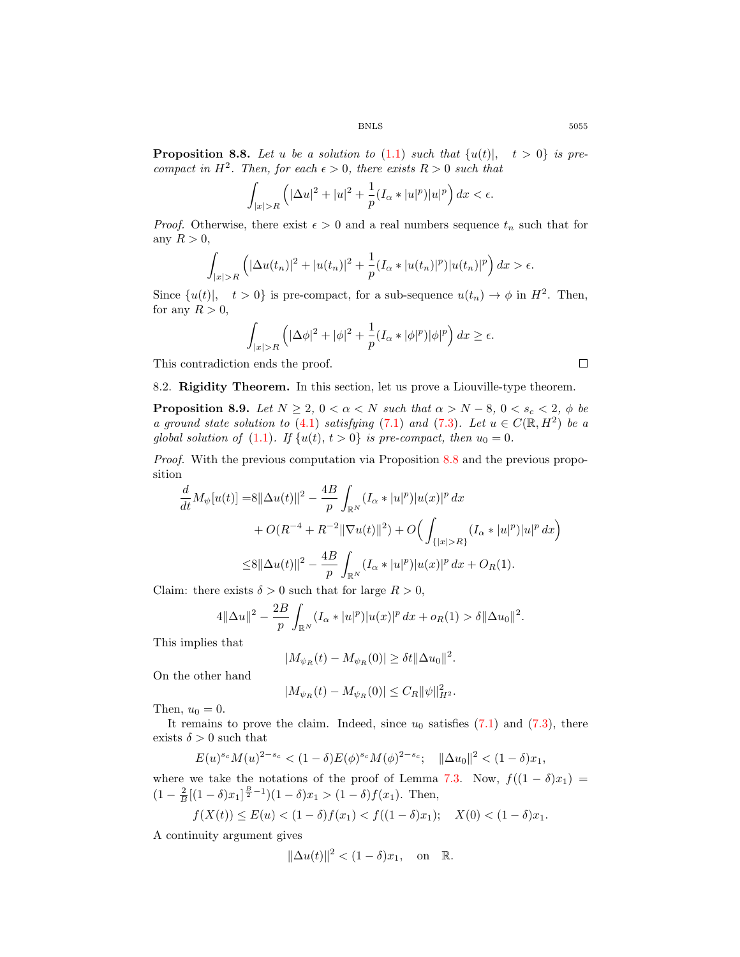**Proposition 8.8.** Let u be a solution to  $(1.1)$  such that  $\{u(t)|, t > 0\}$  is pre*compact in*  $H^2$ *. Then, for each*  $\epsilon > 0$ *, there exists*  $R > 0$  *such that* 

$$
\int_{|x|>R} \left( |\Delta u|^2 + |u|^2 + \frac{1}{p} (I_\alpha * |u|^p) |u|^p \right) dx < \epsilon.
$$

*Proof.* Otherwise, there exist  $\epsilon > 0$  and a real numbers sequence  $t_n$  such that for any  $R > 0$ ,

$$
\int_{|x|>R} \left( |\Delta u(t_n)|^2 + |u(t_n)|^2 + \frac{1}{p}(I_\alpha * |u(t_n)|^p) |u(t_n)|^p \right) dx > \epsilon.
$$

Since  $\{u(t)|, t > 0\}$  is pre-compact, for a sub-sequence  $u(t_n) \to \phi$  in  $H^2$ . Then, for any  $R > 0$ ,

$$
\int_{|x|>R}\left(|\Delta\phi|^2+|\phi|^2+\frac{1}{p}(I_\alpha*|\phi|^p)|\phi|^p\right)dx\geq\epsilon.
$$

This contradiction ends the proof.

 $\Box$ 

8.2. Rigidity Theorem. In this section, let us prove a Liouville-type theorem.

**Proposition 8.9.** *Let*  $N \geq 2$ ,  $0 < \alpha < N$  *such that*  $\alpha > N - 8$ ,  $0 < s_c < 2$ ,  $\phi$  *be a ground state solution to*  $(4.1)$  *satisfying*  $(7.1)$  *and*  $(7.3)$ *. Let*  $u \in C(\mathbb{R}, H^2)$  *be a global solution of* (1.1). If  $\{u(t), t > 0\}$  *is pre-compact, then*  $u_0 = 0$ .

*Proof.* With the previous computation via Proposition 8.8 and the previous proposition

$$
\frac{d}{dt}M_{\psi}[u(t)] = 8\|\Delta u(t)\|^2 - \frac{4B}{p}\int_{\mathbb{R}^N} (I_{\alpha}*|u|^p)|u(x)|^p dx
$$
  
+ O(R<sup>-4</sup> + R<sup>-2</sup>||\nabla u(t)||^2) + O\left(\int\_{\{|x|>R\}} (I\_{\alpha}\*|u|^p)|u|^p dx\right)  

$$
\leq 8\|\Delta u(t)\|^2 - \frac{4B}{p}\int_{\mathbb{R}^N} (I_{\alpha}*|u|^p)|u(x)|^p dx + O_R(1).
$$

Claim: there exists  $\delta > 0$  such that for large  $R > 0$ ,

$$
4\|\Delta u\|^2 - \frac{2B}{p}\int_{\mathbb{R}^N} (I_\alpha * |u|^p)|u(x)|^p dx + o_R(1) > \delta \|\Delta u_0\|^2.
$$

This implies that

$$
|M_{\psi_R}(t) - M_{\psi_R}(0)| \ge \delta t ||\Delta u_0||^2.
$$

On the other hand

$$
|M_{\psi_R}(t) - M_{\psi_R}(0)| \leq C_R ||\psi||_{H^2}^2.
$$

Then,  $u_0 = 0$ .

It remains to prove the claim. Indeed, since  $u_0$  satisfies  $(7.1)$  and  $(7.3)$ , there exists  $\delta > 0$  such that

$$
E(u)^{s_c} M(u)^{2-s_c} < (1-\delta) E(\phi)^{s_c} M(\phi)^{2-s_c}; \quad \|\Delta u_0\|^2 < (1-\delta)x_1,
$$

where we take the notations of the proof of Lemma 7.3. Now,  $f((1 - \delta)x_1)$  =  $(1 - \frac{2}{B}[(1 - \delta)x_1]^{\frac{B}{2} - 1})(1 - \delta)x_1 > (1 - \delta)f(x_1)$ . Then,

$$
f(X(t)) \le E(u) < (1 - \delta)f(x_1) < f((1 - \delta)x_1); \quad X(0) < (1 - \delta)x_1.
$$

A continuity argument gives

$$
\|\Delta u(t)\|^2 < (1-\delta)x_1, \quad \text{on} \quad \mathbb{R}.
$$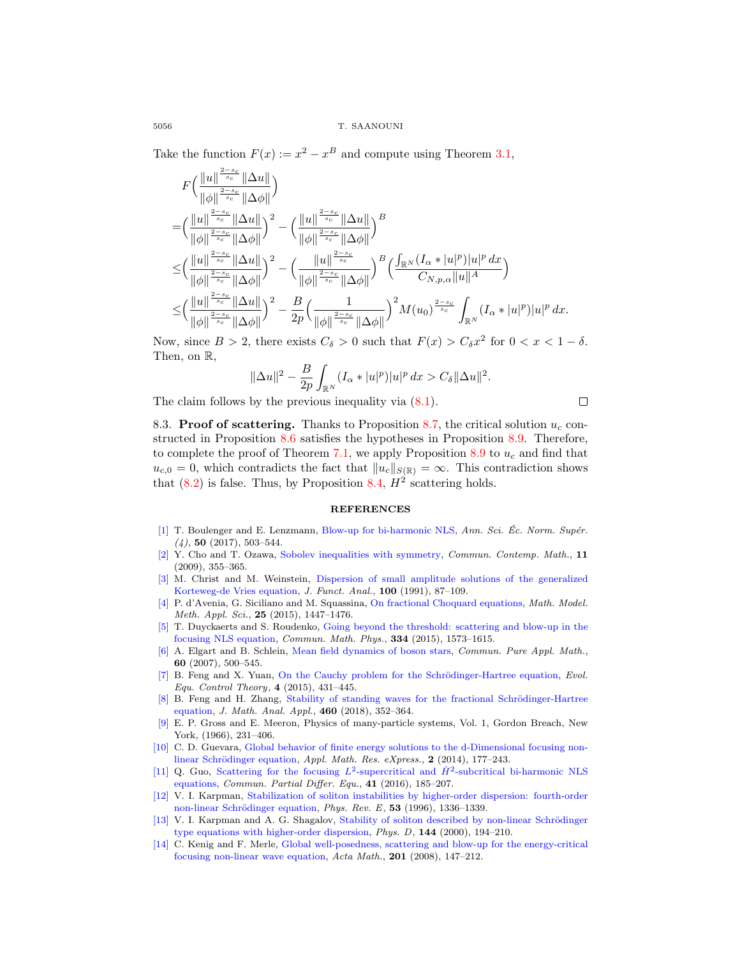Take the function  $F(x) := x^2 - x^B$  and compute using Theorem 3.1,

$$
\begin{split} &F\Big(\frac{\|u\|^\frac{2-s_c}{s_c}\|\Delta u\|}{\|\phi\|^\frac{2-s_c}{s_c}\|\Delta \phi\|}\Big)\\ =&\Big(\frac{\|u\|^\frac{2-s_c}{s_c}\|\Delta u\|}{\|\phi\|^\frac{2-s_c}{s_c}\|\Delta \phi\|}\Big)^2-\Big(\frac{\|u\|^\frac{2-s_c}{s_c}\|\Delta u\|}{\|\phi\|^\frac{2-s_c}{s_c}\|\Delta \phi\|}\Big)^B\\ \leq& \Big(\frac{\|u\|^\frac{2-s_c}{s_c}\|\Delta u\|}{\|\phi\|^\frac{2-s_c}{s_c}\|\Delta \phi\|}\Big)^2-\Big(\frac{\|u\|^\frac{2-s_c}{s_c}\|\Delta \phi\|}{\|\phi\|^\frac{2-s_c}{s_c}\|\Delta \phi\|}\Big)^B\Big(\frac{\int_{\mathbb{R}^N}(I_\alpha*|u|^p)|u|^p\,dx}{C_{N,p,\alpha}\|u\|^A}\Big)\\ \leq& \Big(\frac{\|u\|^\frac{2-s_c}{s_c}\|\Delta u\|}{\|\phi\|^\frac{2-s_c}{s_c}\|\Delta \phi\|}\Big)^2-\frac{B}{2p}\Big(\frac{1}{\|\phi\|^\frac{2-s_c}{s_c}\|\Delta \phi\|}\Big)^2 M(u_0)^\frac{2-s_c}{s_c}\int_{\mathbb{R}^N}(I_\alpha*|u|^p)|u|^p\,dx. \end{split}
$$

Now, since  $B > 2$ , there exists  $C_{\delta} > 0$  such that  $F(x) > C_{\delta} x^2$  for  $0 < x < 1 - \delta$ . Then, on R,

$$
\|\Delta u\|^2 - \frac{B}{2p} \int_{\mathbb{R}^N} (I_\alpha * |u|^p) |u|^p \, dx > C_\delta \|\Delta u\|^2.
$$

The claim follows by the previous inequality via  $(8.1)$ .

 $\Box$ 

8.3. Proof of scattering. Thanks to Proposition 8.7, the critical solution  $u_c$  constructed in Proposition 8.6 satisfies the hypotheses in Proposition 8.9. Therefore, to complete the proof of Theorem 7.1, we apply Proposition 8.9 to  $u_c$  and find that  $u_{c,0} = 0$ , which contradicts the fact that  $||u_c||_{S(\mathbb{R})} = \infty$ . This contradiction shows that  $(8.2)$  is false. Thus, by Proposition 8.4,  $H^2$  scattering holds.

## **REFERENCES**

- [1] T. Boulenger and E. Lenzmann, Blow-up for bi-harmonic NLS, Ann. Sci. Éc. Norm. Supér.  $(4)$ , 50  $(2017)$ , 503-544.
- [2] Y. Cho and T. Ozawa, Sobolev inequalities with symmetry, Commun. Contemp. Math., 11 (2009), 355–365.
- [3] M. Christ and M. Weinstein, Dispersion of small amplitude solutions of the generalized Korteweg-de Vries equation, J. Funct. Anal., 100 (1991), 87–109.
- [4] P. d'Avenia, G. Siciliano and M. Squassina, On fractional Choquard equations, Math. Model. Meth. Appl. Sci., 25 (2015), 1447–1476.
- [5] T. Duyckaerts and S. Roudenko, Going beyond the threshold: scattering and blow-up in the focusing NLS equation, Commun. Math. Phys., 334 (2015), 1573–1615.
- [6] A. Elgart and B. Schlein, Mean field dynamics of boson stars, Commun. Pure Appl. Math., 60 (2007), 500–545.
- [7] B. Feng and X. Yuan, On the Cauchy problem for the Schrödinger-Hartree equation, Evol. Equ. Control Theory, 4 (2015), 431–445.
- [8] B. Feng and H. Zhang, Stability of standing waves for the fractional Schrödinger-Hartree equation, J. Math. Anal. Appl., 460 (2018), 352–364.
- [9] E. P. Gross and E. Meeron, Physics of many-particle systems, Vol. 1, Gordon Breach, New York, (1966), 231–406.
- [10] C. D. Guevara, Global behavior of finite energy solutions to the d-Dimensional focusing nonlinear Schrödinger equation, Appl. Math. Res. eXpress., 2 (2014), 177-243.
- [11] Q. Guo, Scattering for the focusing  $L^2$ -supercritical and  $\dot{H}^2$ -subcritical bi-harmonic NLS equations, Commun. Partial Differ. Equ., 41 (2016), 185–207.
- [12] V. I. Karpman, Stabilization of soliton instabilities by higher-order dispersion: fourth-order non-linear Schrödinger equation, *Phys. Rev. E*, **53** (1996), 1336–1339.
- [13] V. I. Karpman and A. G. Shagalov, Stability of soliton described by non-linear Schrödinger type equations with higher-order dispersion, Phys. D, 144 (2000), 194–210.
- [14] C. Kenig and F. Merle, Global well-posedness, scattering and blow-up for the energy-critical focusing non-linear wave equation, Acta Math., 201 (2008), 147–212.